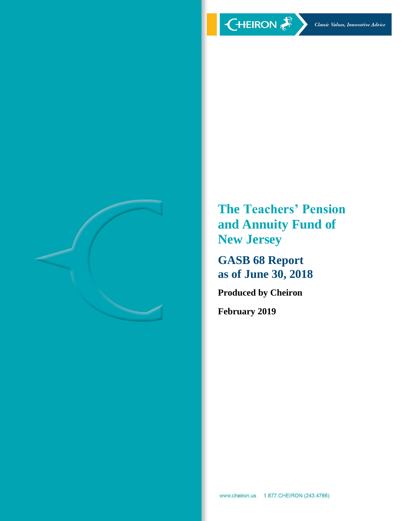

**The Teachers' Pension and Annuity Fund of New Jersey**

**GASB 68 Report as of June 30, 2018**

**Produced by Cheiron**

**February 2019**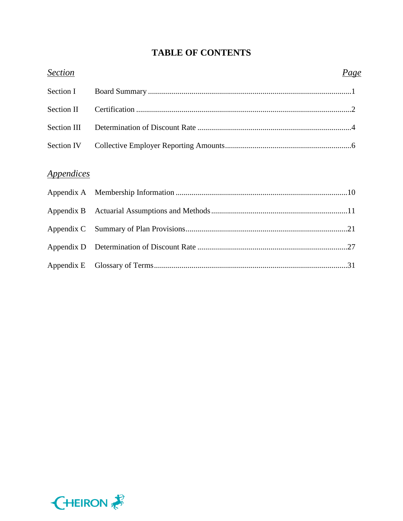# **TABLE OF CONTENTS**

| <b>Section</b>                  | Page |
|---------------------------------|------|
| Section I                       |      |
| Section II                      |      |
| Section III                     |      |
| Section IV                      |      |
| <i><u><b>Appendices</b></u></i> |      |
|                                 |      |
|                                 |      |
|                                 |      |
|                                 |      |
|                                 |      |
|                                 |      |

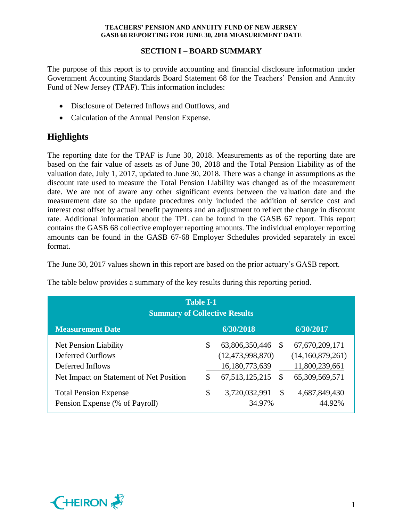## **SECTION I – BOARD SUMMARY**

The purpose of this report is to provide accounting and financial disclosure information under Government Accounting Standards Board Statement 68 for the Teachers' Pension and Annuity Fund of New Jersey (TPAF). This information includes:

- Disclosure of Deferred Inflows and Outflows, and
- Calculation of the Annual Pension Expense.

# **Highlights**

The reporting date for the TPAF is June 30, 2018. Measurements as of the reporting date are based on the fair value of assets as of June 30, 2018 and the Total Pension Liability as of the valuation date, July 1, 2017, updated to June 30, 2018. There was a change in assumptions as the discount rate used to measure the Total Pension Liability was changed as of the measurement date. We are not of aware any other significant events between the valuation date and the measurement date so the update procedures only included the addition of service cost and interest cost offset by actual benefit payments and an adjustment to reflect the change in discount rate. Additional information about the TPL can be found in the GASB 67 report. This report contains the GASB 68 collective employer reporting amounts. The individual employer reporting amounts can be found in the GASB 67-68 Employer Schedules provided separately in excel format.

The June 30, 2017 values shown in this report are based on the prior actuary's GASB report.

| <b>Table I-1</b><br><b>Summary of Collective Results</b> |    |                     |               |                   |  |
|----------------------------------------------------------|----|---------------------|---------------|-------------------|--|
| <b>Measurement Date</b>                                  |    | 6/30/2018           |               | 6/30/2017         |  |
| <b>Net Pension Liability</b>                             | \$ | 63,806,350,446      | -S            | 67, 670, 209, 171 |  |
| <b>Deferred Outflows</b>                                 |    | (12, 473, 998, 870) |               | (14,160,879,261)  |  |
| Deferred Inflows                                         |    | 16,180,773,639      |               | 11,800,239,661    |  |
| Net Impact on Statement of Net Position                  | \$ | 67, 513, 125, 215   | S             | 65,309,569,571    |  |
| <b>Total Pension Expense</b>                             | \$ | 3,720,032,991       | $\mathcal{S}$ | 4,687,849,430     |  |
| Pension Expense (% of Payroll)                           |    | 34.97%              |               | 44.92%            |  |

The table below provides a summary of the key results during this reporting period.

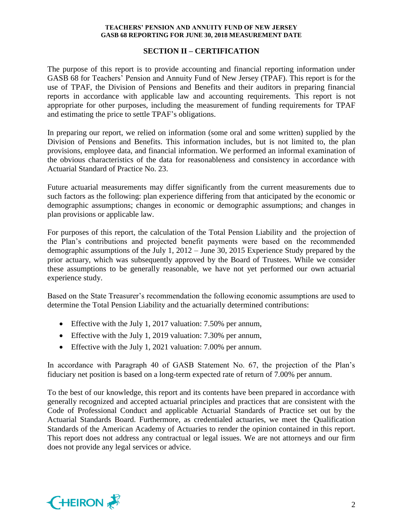### **SECTION II – CERTIFICATION**

The purpose of this report is to provide accounting and financial reporting information under GASB 68 for Teachers' Pension and Annuity Fund of New Jersey (TPAF). This report is for the use of TPAF, the Division of Pensions and Benefits and their auditors in preparing financial reports in accordance with applicable law and accounting requirements. This report is not appropriate for other purposes, including the measurement of funding requirements for TPAF and estimating the price to settle TPAF's obligations.

In preparing our report, we relied on information (some oral and some written) supplied by the Division of Pensions and Benefits. This information includes, but is not limited to, the plan provisions, employee data, and financial information. We performed an informal examination of the obvious characteristics of the data for reasonableness and consistency in accordance with Actuarial Standard of Practice No. 23.

Future actuarial measurements may differ significantly from the current measurements due to such factors as the following: plan experience differing from that anticipated by the economic or demographic assumptions; changes in economic or demographic assumptions; and changes in plan provisions or applicable law.

For purposes of this report, the calculation of the Total Pension Liability and the projection of the Plan's contributions and projected benefit payments were based on the recommended demographic assumptions of the July 1, 2012 – June 30, 2015 Experience Study prepared by the prior actuary, which was subsequently approved by the Board of Trustees. While we consider these assumptions to be generally reasonable, we have not yet performed our own actuarial experience study.

Based on the State Treasurer's recommendation the following economic assumptions are used to determine the Total Pension Liability and the actuarially determined contributions:

- Effective with the July 1, 2017 valuation: 7.50% per annum,
- Effective with the July 1, 2019 valuation: 7.30% per annum,
- Effective with the July 1, 2021 valuation: 7.00% per annum.

In accordance with Paragraph 40 of GASB Statement No. 67, the projection of the Plan's fiduciary net position is based on a long-term expected rate of return of 7.00% per annum.

To the best of our knowledge, this report and its contents have been prepared in accordance with generally recognized and accepted actuarial principles and practices that are consistent with the Code of Professional Conduct and applicable Actuarial Standards of Practice set out by the Actuarial Standards Board. Furthermore, as credentialed actuaries, we meet the Qualification Standards of the American Academy of Actuaries to render the opinion contained in this report. This report does not address any contractual or legal issues. We are not attorneys and our firm does not provide any legal services or advice.

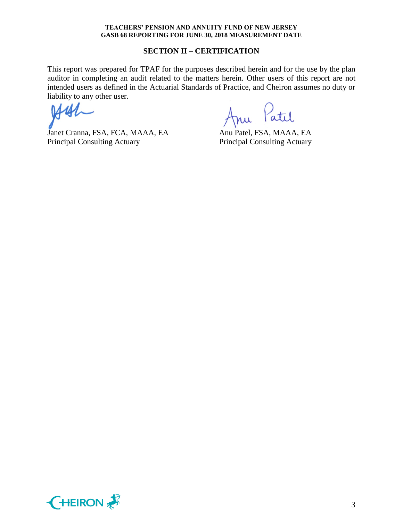#### **SECTION II – CERTIFICATION**

This report was prepared for TPAF for the purposes described herein and for the use by the plan auditor in completing an audit related to the matters herein. Other users of this report are not intended users as defined in the Actuarial Standards of Practice, and Cheiron assumes no duty or liability to any other user.

Janet Cranna, FSA, FCA, MAAA, EA Anu Patel, FSA, MAAA, EA Principal Consulting Actuary Principal Consulting Actuary

Patil 1 i l

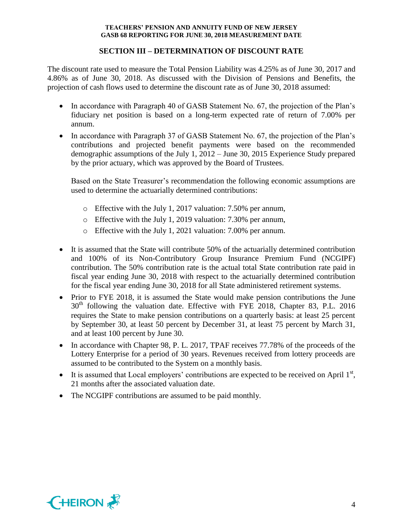## **SECTION III – DETERMINATION OF DISCOUNT RATE**

The discount rate used to measure the Total Pension Liability was 4.25% as of June 30, 2017 and 4.86% as of June 30, 2018. As discussed with the Division of Pensions and Benefits, the projection of cash flows used to determine the discount rate as of June 30, 2018 assumed:

- In accordance with Paragraph 40 of GASB Statement No. 67, the projection of the Plan's fiduciary net position is based on a long-term expected rate of return of 7.00% per annum.
- In accordance with Paragraph 37 of GASB Statement No. 67, the projection of the Plan's contributions and projected benefit payments were based on the recommended demographic assumptions of the July 1, 2012 – June 30, 2015 Experience Study prepared by the prior actuary, which was approved by the Board of Trustees.

Based on the State Treasurer's recommendation the following economic assumptions are used to determine the actuarially determined contributions:

- o Effective with the July 1, 2017 valuation: 7.50% per annum,
- o Effective with the July 1, 2019 valuation: 7.30% per annum,
- o Effective with the July 1, 2021 valuation: 7.00% per annum.
- It is assumed that the State will contribute 50% of the actuarially determined contribution and 100% of its Non-Contributory Group Insurance Premium Fund (NCGIPF) contribution. The 50% contribution rate is the actual total State contribution rate paid in fiscal year ending June 30, 2018 with respect to the actuarially determined contribution for the fiscal year ending June 30, 2018 for all State administered retirement systems.
- Prior to FYE 2018, it is assumed the State would make pension contributions the June  $30<sup>th</sup>$  following the valuation date. Effective with FYE 2018, Chapter 83, P.L. 2016 requires the State to make pension contributions on a quarterly basis: at least 25 percent by September 30, at least 50 percent by December 31, at least 75 percent by March 31, and at least 100 percent by June 30.
- In accordance with Chapter 98, P. L. 2017, TPAF receives 77.78% of the proceeds of the Lottery Enterprise for a period of 30 years. Revenues received from lottery proceeds are assumed to be contributed to the System on a monthly basis.
- $\bullet$  It is assumed that Local employers' contributions are expected to be received on April  $1<sup>st</sup>$ , 21 months after the associated valuation date.
- The NCGIPF contributions are assumed to be paid monthly.

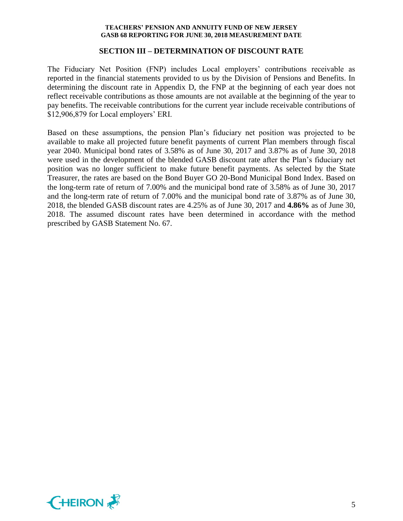#### **SECTION III – DETERMINATION OF DISCOUNT RATE**

The Fiduciary Net Position (FNP) includes Local employers' contributions receivable as reported in the financial statements provided to us by the Division of Pensions and Benefits. In determining the discount rate in Appendix D, the FNP at the beginning of each year does not reflect receivable contributions as those amounts are not available at the beginning of the year to pay benefits. The receivable contributions for the current year include receivable contributions of \$12,906,879 for Local employers' ERI.

Based on these assumptions, the pension Plan's fiduciary net position was projected to be available to make all projected future benefit payments of current Plan members through fiscal year 2040. Municipal bond rates of 3.58% as of June 30, 2017 and 3.87% as of June 30, 2018 were used in the development of the blended GASB discount rate after the Plan's fiduciary net position was no longer sufficient to make future benefit payments. As selected by the State Treasurer, the rates are based on the Bond Buyer GO 20-Bond Municipal Bond Index. Based on the long-term rate of return of 7.00% and the municipal bond rate of 3.58% as of June 30, 2017 and the long-term rate of return of 7.00% and the municipal bond rate of 3.87% as of June 30, 2018, the blended GASB discount rates are 4.25% as of June 30, 2017 and **4.86%** as of June 30, 2018. The assumed discount rates have been determined in accordance with the method prescribed by GASB Statement No. 67.

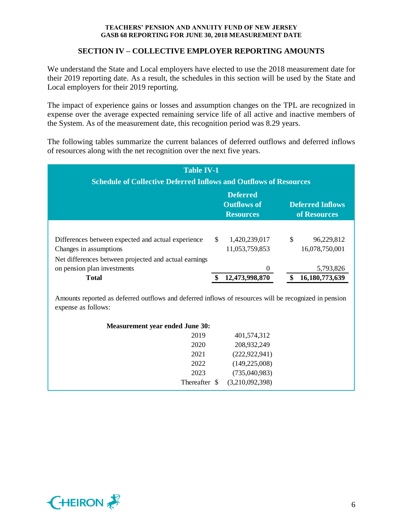## **SECTION IV – COLLECTIVE EMPLOYER REPORTING AMOUNTS**

We understand the State and Local employers have elected to use the 2018 measurement date for their 2019 reporting date. As a result, the schedules in this section will be used by the State and Local employers for their 2019 reporting.

The impact of experience gains or losses and assumption changes on the TPL are recognized in expense over the average expected remaining service life of all active and inactive members of the System. As of the measurement date, this recognition period was 8.29 years.

The following tables summarize the current balances of deferred outflows and deferred inflows of resources along with the net recognition over the next five years.

| <b>Table IV-1</b><br><b>Schedule of Collective Deferred Inflows and Outflows of Resources</b>        |               |                                  |    |                             |  |
|------------------------------------------------------------------------------------------------------|---------------|----------------------------------|----|-----------------------------|--|
| <b>Deferred</b><br><b>Outflows of</b><br><b>Deferred Inflows</b><br>of Resources<br><b>Resources</b> |               |                                  |    |                             |  |
| Differences between expected and actual experience                                                   | <sup>\$</sup> | 1,420,239,017                    | \$ | 96,229,812                  |  |
| Changes in assumptions<br>Net differences between projected and actual earnings                      |               | 11,053,759,853                   |    | 16,078,750,001              |  |
| on pension plan investments<br><b>Total</b>                                                          |               | $\overline{0}$<br>12,473,998,870 |    | 5,793,826<br>16,180,773,639 |  |

Amounts reported as deferred outflows and deferred inflows of resources will be recognized in pension expense as follows:

| 2019<br>401,574,312<br>208,932,249<br>2020<br>(222, 922, 941)<br>2021<br>(149, 225, 008)<br>2022<br>2023<br>(735,040,983)<br>(3,210,092,398)<br>Thereafter \$ | <b>Measurement year ended June 30:</b> |  |
|---------------------------------------------------------------------------------------------------------------------------------------------------------------|----------------------------------------|--|
|                                                                                                                                                               |                                        |  |
|                                                                                                                                                               |                                        |  |
|                                                                                                                                                               |                                        |  |
|                                                                                                                                                               |                                        |  |
|                                                                                                                                                               |                                        |  |
|                                                                                                                                                               |                                        |  |

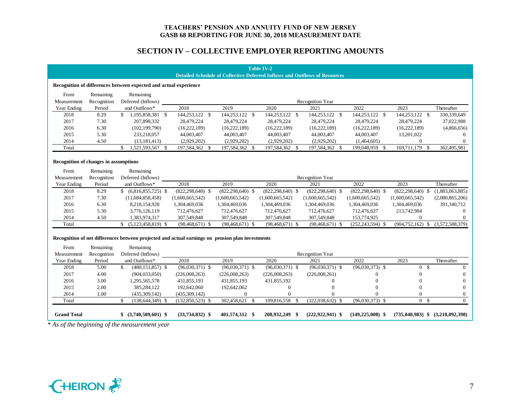## **SECTION IV – COLLECTIVE EMPLOYER REPORTING AMOUNTS**

|                    | <b>Table IV-2</b><br><b>Detailed Schedule of Collective Deferred Inflows and Outflows of Resources</b>                     |                            |                      |                      |                      |  |                      |                      |                                           |                 |
|--------------------|----------------------------------------------------------------------------------------------------------------------------|----------------------------|----------------------|----------------------|----------------------|--|----------------------|----------------------|-------------------------------------------|-----------------|
|                    | Recognition of differences between expected and actual experience                                                          |                            |                      |                      |                      |  |                      |                      |                                           |                 |
| From               | Remaining                                                                                                                  | Remaining                  |                      |                      |                      |  |                      |                      |                                           |                 |
| Measurement        | Recognition                                                                                                                | Deferred (Inflows)         |                      |                      |                      |  | Recognition Year     |                      |                                           |                 |
| Year Ending        | Period                                                                                                                     | and Outflows*              | 2018                 | 2019                 | 2020                 |  | 2021                 | 2022                 | 2023                                      | Thereafter      |
| 2018               | 8.29                                                                                                                       | $$1,195,858,381$ \\$       | 144,253,122 \$       | 144,253,122 \$       | 144,253,122 \$       |  | $144,253,122$ \$     | 144,253,122 \$       | 144,253,122 \$                            | 330,339,649     |
| 2017               | 7.30                                                                                                                       | 207,898,332                | 28,479,224           | 28,479,224           | 28,479,224           |  | 28,479,224           | 28,479,224           | 28,479,224                                | 37,022,988      |
| 2016               | 6.30                                                                                                                       | (102, 199, 790)            | (16, 222, 189)       | (16, 222, 189)       | (16, 222, 189)       |  | (16, 222, 189)       | (16, 222, 189)       | (16, 222, 189)                            | (4,866,656)     |
| 2015               | 5.30                                                                                                                       | 233,218,057                | 44,003,407           | 44,003,407           | 44,003,407           |  | 44,003,407           | 44,003,407           | 13,201,022                                | $\Omega$        |
| 2014               | 4.50                                                                                                                       | (13, 181, 413)             | (2,929,202)          | (2,929,202)          | (2,929,202)          |  | (2,929,202)          | (1,464,605)          | $\theta$                                  | $\overline{0}$  |
| Total              |                                                                                                                            | \$<br>1,521,593,567 \$     | 197,584,362 \$       | 197,584,362 \$       | 197,584,362 \$       |  | 197,584,362 \$       | 199,048,959 \$       | 169,711,179 \$                            | 362,495,981     |
|                    | <b>Recognition of changes in assumptions</b>                                                                               |                            |                      |                      |                      |  |                      |                      |                                           |                 |
| From               | Remaining                                                                                                                  | Remaining                  |                      |                      |                      |  |                      |                      |                                           |                 |
| Measurement        | Recognition                                                                                                                | Deferred (Inflows)         |                      |                      |                      |  | Recognition Year     |                      |                                           |                 |
| <b>Year Ending</b> | Period                                                                                                                     | and Outflows*              | 2018                 | 2019                 | 2020                 |  | 2021                 | 2022                 | 2023                                      | Thereafter      |
| 2018               | 8.29                                                                                                                       | $$$ (6,816,855,725) \$     | $(822, 298, 640)$ \$ | $(822, 298, 640)$ \$ | $(822, 298, 640)$ \$ |  | $(822, 298, 640)$ \$ | $(822, 298, 640)$ \$ | $(822, 298, 640)$ \$                      | (1,883,063,885) |
| 2017               | 7.30                                                                                                                       | (11,684,858,458)           | (1,600,665,542)      | (1,600,665,542)      | (1,600,665,542)      |  | (1,600,665,542)      | (1,600,665,542)      | (1,600,665,542)                           | (2,080,865,206) |
| 2016               | 6.30                                                                                                                       | 8,218,154,928              | 1,304,469,036        | 1,304,469,036        | 1,304,469,036        |  | 1,304,469,036        | 1,304,469,036        | 1,304,469,036                             | 391,340,712     |
| 2015               | 5.30                                                                                                                       | 3,776,126,119              | 712,476,627          | 712,476,627          | 712,476,627          |  | 712,476,627          | 712,476,627          | 213,742,984                               | $\overline{0}$  |
| 2014               | 4.50                                                                                                                       | 1,383,974,317              | 307,549,848          | 307,549,848          | 307,549,848          |  | 307,549,848          | 153,774,925          | $\Omega$                                  | $\Omega$        |
| Total              |                                                                                                                            | $$ (5,123,458,819)$ \$     | $(98, 468, 671)$ \$  | $(98, 468, 671)$ \$  | $(98, 468, 671)$ \$  |  | $(98, 468, 671)$ \$  | $(252, 243, 594)$ \$ | $(904, 752, 162)$ \$ $(3, 572, 588, 379)$ |                 |
| From               | Recognition of net differences between projected and actual earnings on pension plan investments<br>Remaining<br>Remaining |                            |                      |                      |                      |  |                      |                      |                                           |                 |
| Measurement        | Recognition                                                                                                                | Deferred (Inflows)         |                      |                      |                      |  | Recognition Year     |                      |                                           |                 |
| Year Ending        | Period                                                                                                                     | and Outflows*              | 2018                 | 2019                 | 2020                 |  | 2021                 | 2022                 | 2023                                      | Thereafter      |
| 2018               | 5.00                                                                                                                       | \$<br>$(480, 151, 857)$ \$ | $(96,030,371)$ \$    | $(96,030,371)$ \$    | $(96,030,371)$ \$    |  | $(96,030,371)$ \$    | $(96,030,373)$ \$    | 0 <sup>5</sup>                            | $\overline{0}$  |
| 2017               | 4.00                                                                                                                       | (904, 033, 050)            | (226,008,263)        | (226,008,263)        | (226,008,263)        |  | (226,008,261)        | $\mathbf{0}$         | $\overline{0}$                            | $\overline{0}$  |
| 2016               | 3.00                                                                                                                       | 1,295,565,578              | 431,855,193          | 431,855,193          | 431,855,192          |  | $\Omega$             | $\theta$             | $\overline{0}$                            | $\Omega$        |
| 2015               | 2.00                                                                                                                       | 385,284,122                | 192,642,060          | 192,642,062          | $\mathbf{0}$         |  | $\Omega$             | $\Omega$             | $\overline{0}$                            | $\Omega$        |
| 2014               | 1.00                                                                                                                       | (435, 309, 142)            | (435, 309, 142)      | $\mathbf{0}$         | $\Omega$             |  | $\Omega$             | 0                    | $\overline{0}$                            | $\overline{0}$  |
| Total              |                                                                                                                            | \$<br>$(138, 644, 349)$ \$ | $(132,850,523)$ \$   | 302,458,621 \$       | 109,816,558 \$       |  | $(322,038,632)$ \$   | $(96,030,373)$ \$    | 0 <sup>5</sup>                            | $\Omega$        |
| <b>Grand Total</b> |                                                                                                                            | $$ (3,740,509,601)$ \$     | $(33,734,832)$ \$    | 401,574,312 \$       | 208,932,249 \$       |  | $(222, 922, 941)$ \$ | $(149, 225, 008)$ \$ | $(735.040.983)$ \$ $(3.210.092.398)$      |                 |
|                    | * As of the beginning of the measurement year                                                                              |                            |                      |                      |                      |  |                      |                      |                                           |                 |

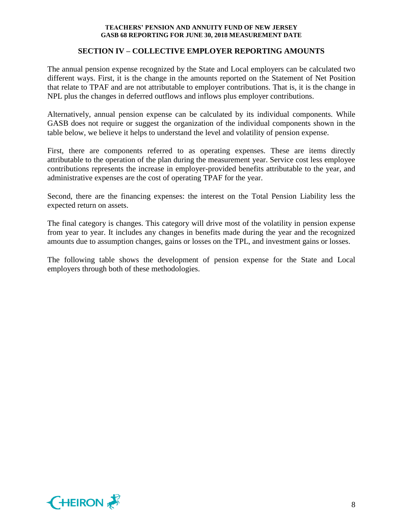#### **SECTION IV – COLLECTIVE EMPLOYER REPORTING AMOUNTS**

The annual pension expense recognized by the State and Local employers can be calculated two different ways. First, it is the change in the amounts reported on the Statement of Net Position that relate to TPAF and are not attributable to employer contributions. That is, it is the change in NPL plus the changes in deferred outflows and inflows plus employer contributions.

Alternatively, annual pension expense can be calculated by its individual components. While GASB does not require or suggest the organization of the individual components shown in the table below, we believe it helps to understand the level and volatility of pension expense.

First, there are components referred to as operating expenses. These are items directly attributable to the operation of the plan during the measurement year. Service cost less employee contributions represents the increase in employer-provided benefits attributable to the year, and administrative expenses are the cost of operating TPAF for the year.

Second, there are the financing expenses: the interest on the Total Pension Liability less the expected return on assets.

The final category is changes. This category will drive most of the volatility in pension expense from year to year. It includes any changes in benefits made during the year and the recognized amounts due to assumption changes, gains or losses on the TPL, and investment gains or losses.

The following table shows the development of pension expense for the State and Local employers through both of these methodologies.

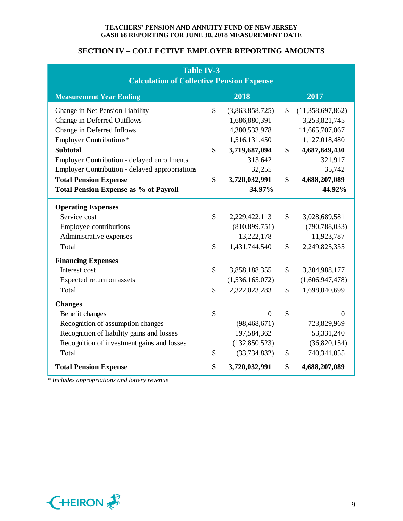## **SECTION IV – COLLECTIVE EMPLOYER REPORTING AMOUNTS**

| <b>Table IV-3</b><br><b>Calculation of Collective Pension Expense</b> |                           |                 |              |                  |
|-----------------------------------------------------------------------|---------------------------|-----------------|--------------|------------------|
| <b>Measurement Year Ending</b>                                        |                           | 2018            |              | 2017             |
| Change in Net Pension Liability                                       | $\mathbb{S}$              | (3,863,858,725) | $\mathbb{S}$ | (11,358,697,862) |
| Change in Deferred Outflows                                           |                           | 1,686,880,391   |              | 3,253,821,745    |
| Change in Deferred Inflows                                            |                           | 4,380,533,978   |              | 11,665,707,067   |
| <b>Employer Contributions*</b>                                        |                           | 1,516,131,450   |              | 1,127,018,480    |
| <b>Subtotal</b>                                                       | \$                        | 3,719,687,094   | \$           | 4,687,849,430    |
| <b>Employer Contribution - delayed enrollments</b>                    |                           | 313,642         |              | 321,917          |
| <b>Employer Contribution - delayed appropriations</b>                 |                           | 32,255          |              | 35,742           |
| <b>Total Pension Expense</b>                                          | \$                        | 3,720,032,991   | \$           | 4,688,207,089    |
| <b>Total Pension Expense as % of Payroll</b>                          |                           | 34.97%          |              | 44.92%           |
| <b>Operating Expenses</b>                                             |                           |                 |              |                  |
| Service cost                                                          | \$                        | 2,229,422,113   | \$           | 3,028,689,581    |
| Employee contributions                                                |                           | (810, 899, 751) |              | (790, 788, 033)  |
| Administrative expenses                                               |                           | 13,222,178      |              | 11,923,787       |
| Total                                                                 | $\mathbb{S}$              | 1,431,744,540   | $\mathbb{S}$ | 2,249,825,335    |
| <b>Financing Expenses</b>                                             |                           |                 |              |                  |
| Interest cost                                                         | \$                        | 3,858,188,355   | \$           | 3,304,988,177    |
| Expected return on assets                                             |                           | (1,536,165,072) |              | (1,606,947,478)  |
| Total                                                                 | $\mathbb{S}$              | 2,322,023,283   | \$           | 1,698,040,699    |
| <b>Changes</b>                                                        |                           |                 |              |                  |
| Benefit changes                                                       | $\boldsymbol{\mathsf{S}}$ | $\overline{0}$  | \$           | $\overline{0}$   |
| Recognition of assumption changes                                     |                           | (98, 468, 671)  |              | 723,829,969      |
| Recognition of liability gains and losses                             |                           | 197,584,362     |              | 53,331,240       |
| Recognition of investment gains and losses                            |                           | (132, 850, 523) |              | (36,820,154)     |
| Total                                                                 | $\mathbb{S}$              | (33, 734, 832)  | $\mathbb{S}$ | 740,341,055      |
| <b>Total Pension Expense</b>                                          | \$                        | 3,720,032,991   | \$           | 4,688,207,089    |

*\* Includes appropriations and lottery revenue*

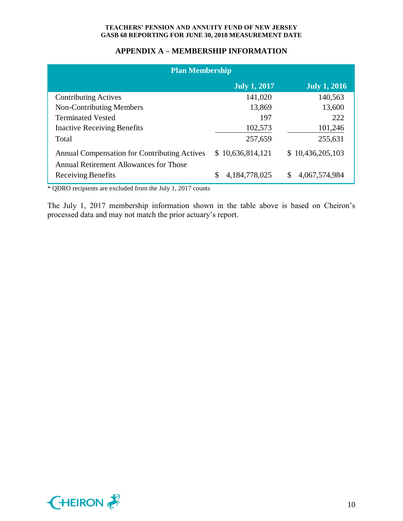## **APPENDIX A – MEMBERSHIP INFORMATION**

| <b>Plan Membership</b>                                                                        |                     |                     |  |  |  |
|-----------------------------------------------------------------------------------------------|---------------------|---------------------|--|--|--|
|                                                                                               | <b>July 1, 2017</b> | <b>July 1, 2016</b> |  |  |  |
| <b>Contributing Actives</b>                                                                   | 141,020             | 140,563             |  |  |  |
| <b>Non-Contributing Members</b>                                                               | 13,869              | 13,600              |  |  |  |
| <b>Terminated Vested</b>                                                                      | 197                 | 222                 |  |  |  |
| <b>Inactive Receiving Benefits</b>                                                            | 102,573             | 101,246             |  |  |  |
| Total                                                                                         | 257,659             | 255,631             |  |  |  |
| <b>Annual Compensation for Contributing Actives</b><br>Annual Retirement Allowances for Those | \$10,636,814,121    | \$10,436,205,103    |  |  |  |
| <b>Receiving Benefits</b>                                                                     | 4, 184, 778, 025    | \$<br>4,067,574,984 |  |  |  |

\* QDRO recipients are excluded from the July 1, 2017 counts

The July 1, 2017 membership information shown in the table above is based on Cheiron's processed data and may not match the prior actuary's report.

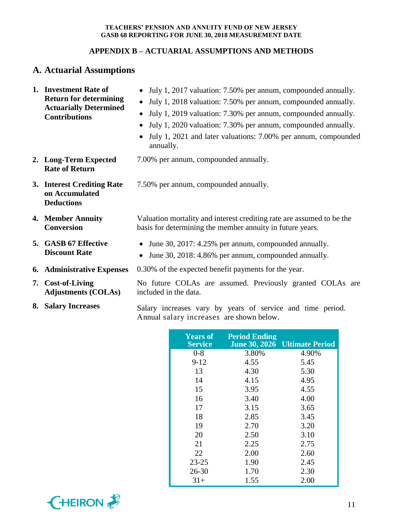# **APPENDIX B – ACTUARIAL ASSUMPTIONS AND METHODS**

# **A. Actuarial Assumptions**

| 1. Investment Rate of<br><b>Return for determining</b><br><b>Actuarially Determined</b><br><b>Contributions</b> | • July 1, 2017 valuation: 7.50% per annum, compounded annually.<br>July 1, 2018 valuation: 7.50% per annum, compounded annually.<br>$\bullet$<br>July 1, 2019 valuation: 7.30% per annum, compounded annually.<br>$\bullet$<br>July 1, 2020 valuation: 7.30% per annum, compounded annually.<br>$\bullet$<br>July 1, 2021 and later valuations: 7.00% per annum, compounded<br>$\bullet$<br>annually. |  |  |  |
|-----------------------------------------------------------------------------------------------------------------|-------------------------------------------------------------------------------------------------------------------------------------------------------------------------------------------------------------------------------------------------------------------------------------------------------------------------------------------------------------------------------------------------------|--|--|--|
| 2. Long-Term Expected<br><b>Rate of Return</b>                                                                  | 7.00% per annum, compounded annually.                                                                                                                                                                                                                                                                                                                                                                 |  |  |  |
| 3. Interest Crediting Rate<br>on Accumulated<br><b>Deductions</b>                                               | 7.50% per annum, compounded annually.                                                                                                                                                                                                                                                                                                                                                                 |  |  |  |
| 4. Member Annuity<br><b>Conversion</b>                                                                          | Valuation mortality and interest crediting rate are assumed to be the<br>basis for determining the member annuity in future years.                                                                                                                                                                                                                                                                    |  |  |  |
| 5. GASB 67 Effective<br><b>Discount Rate</b>                                                                    | June 30, 2017: 4.25% per annum, compounded annually.<br>$\bullet$<br>June 30, 2018: 4.86% per annum, compounded annually.<br>$\bullet$                                                                                                                                                                                                                                                                |  |  |  |
| <b>6.</b> Administrative Expenses                                                                               | 0.30% of the expected benefit payments for the year.                                                                                                                                                                                                                                                                                                                                                  |  |  |  |
| 7. Cost-of-Living<br><b>Adjustments (COLAs)</b>                                                                 | No future COLAs are assumed. Previously granted COLAs are<br>included in the data.                                                                                                                                                                                                                                                                                                                    |  |  |  |
| 8. Salary Increases                                                                                             | Salary increases vary by years of service and time period.                                                                                                                                                                                                                                                                                                                                            |  |  |  |

Annual salary increases are shown below.

| <b>Years of</b><br><b>Service</b> | <b>Period Ending</b> | June 30, 2026 Ultimate Period |
|-----------------------------------|----------------------|-------------------------------|
| $0 - 8$                           | 3.80%                | 4.90%                         |
| $9 - 12$                          | 4.55                 | 5.45                          |
| 13                                | 4.30                 | 5.30                          |
| 14                                | 4.15                 | 4.95                          |
| 15                                | 3.95                 | 4.55                          |
| 16                                | 3.40                 | 4.00                          |
| 17                                | 3.15                 | 3.65                          |
| 18                                | 2.85                 | 3.45                          |
| 19                                | 2.70                 | 3.20                          |
| 20                                | 2.50                 | 3.10                          |
| 21                                | 2.25                 | 2.75                          |
| 22                                | 2.00                 | 2.60                          |
| 23-25                             | 1.90                 | 2.45                          |
| $26 - 30$                         | 1.70                 | 2.30                          |
| $31+$                             | 1.55                 | 2.00                          |

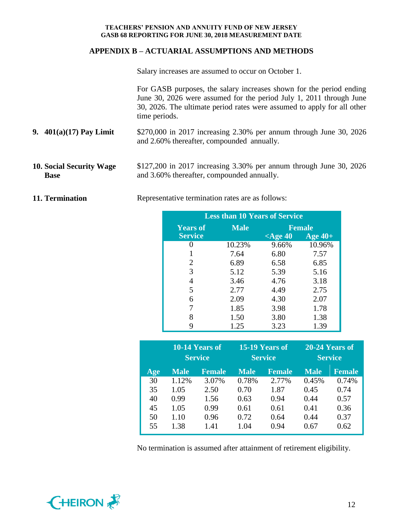## **APPENDIX B – ACTUARIAL ASSUMPTIONS AND METHODS**

Salary increases are assumed to occur on October 1.

For GASB purposes, the salary increases shown for the period ending June 30, 2026 were assumed for the period July 1, 2011 through June 30, 2026. The ultimate period rates were assumed to apply for all other time periods.

- **9. 401(a)(17) Pay Limit** \$270,000 in 2017 increasing 2.30% per annum through June 30, 2026 and 2.60% thereafter, compounded annually.
- **10. Social Security Wage Base** \$127,200 in 2017 increasing 3.30% per annum through June 30, 2026 and 3.60% thereafter, compounded annually.

**11. Termination** Representative termination rates are as follows:

| <b>Less than 10 Years of Service</b> |             |               |           |  |  |
|--------------------------------------|-------------|---------------|-----------|--|--|
| <b>Years of</b>                      | <b>Male</b> | <b>Female</b> |           |  |  |
| <b>Service</b>                       |             | $\leq$ Age 40 | Age $40+$ |  |  |
|                                      | 10.23%      | 9.66%         | 10.96%    |  |  |
|                                      | 7.64        | 6.80          | 7.57      |  |  |
| 2                                    | 6.89        | 6.58          | 6.85      |  |  |
| 3                                    | 5.12        | 5.39          | 5.16      |  |  |
|                                      | 3.46        | 4.76          | 3.18      |  |  |
| 5                                    | 2.77        | 4.49          | 2.75      |  |  |
| 6                                    | 2.09        | 4.30          | 2.07      |  |  |
| 7                                    | 1.85        | 3.98          | 1.78      |  |  |
| 8                                    | 1.50        | 3.80          | 1.38      |  |  |
|                                      | 1.25        | 3.23          | 1.39      |  |  |

|     | $10-14$ Years of<br>15-19 Years of<br><b>Service</b><br><b>Service</b> |               | 20-24 Years of<br><b>Service</b> |               |             |               |
|-----|------------------------------------------------------------------------|---------------|----------------------------------|---------------|-------------|---------------|
| Age | <b>Male</b>                                                            | <b>Female</b> | <b>Male</b>                      | <b>Female</b> | <b>Male</b> | <b>Female</b> |
| 30  | 1.12%                                                                  | 3.07%         | 0.78%                            | 2.77%         | 0.45%       | 0.74%         |
| 35  | 1.05                                                                   | 2.50          | 0.70                             | 1.87          | 0.45        | 0.74          |
| 40  | 0.99                                                                   | 1.56          | 0.63                             | 0.94          | 0.44        | 0.57          |
| 45  | 1.05                                                                   | 0.99          | 0.61                             | 0.61          | 0.41        | 0.36          |
| 50  | 1.10                                                                   | 0.96          | 0.72                             | 0.64          | 0.44        | 0.37          |
| 55  | 1.38                                                                   | 1.41          | 1.04                             | 0.94          | 0.67        | 0.62          |

No termination is assumed after attainment of retirement eligibility.

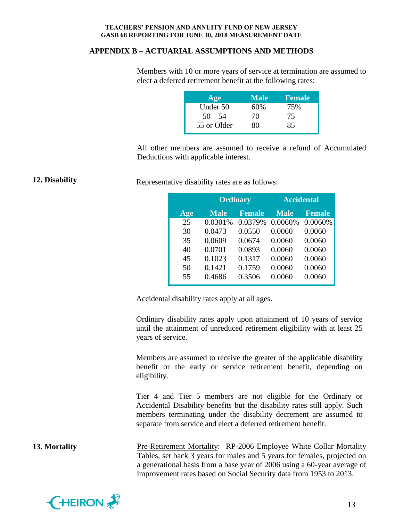### **APPENDIX B – ACTUARIAL ASSUMPTIONS AND METHODS**

Members with 10 or more years of service at termination are assumed to elect a deferred retirement benefit at the following rates:

| Age         | <b>Male</b> | <b>Female</b> |
|-------------|-------------|---------------|
| Under 50    | 60%         | 75%           |
| $50 - 54$   | 70          | 75            |
| 55 or Older | 80          | 85            |

All other members are assumed to receive a refund of Accumulated Deductions with applicable interest.

**12. Disability** Representative disability rates are as follows:

|     | <b>Ordinary</b> |               | <b>Accidental</b> |               |  |
|-----|-----------------|---------------|-------------------|---------------|--|
| Age | <b>Male</b>     | <b>Female</b> | <b>Male</b>       | <b>Female</b> |  |
| 25  | 0.0301%         | 0.0379%       | 0.0060%           | 0.0060%       |  |
| 30  | 0.0473          | 0.0550        | 0.0060            | 0.0060        |  |
| 35  | 0.0609          | 0.0674        | 0.0060            | 0.0060        |  |
| 40  | 0.0701          | 0.0893        | 0.0060            | 0.0060        |  |
| 45  | 0.1023          | 0.1317        | 0.0060            | 0.0060        |  |
| 50  | 0.1421          | 0.1759        | 0.0060            | 0.0060        |  |
| 55  | 0.4686          | 0.3506        | 0.0060            | 0.0060        |  |

Accidental disability rates apply at all ages.

Ordinary disability rates apply upon attainment of 10 years of service until the attainment of unreduced retirement eligibility with at least 25 years of service.

Members are assumed to receive the greater of the applicable disability benefit or the early or service retirement benefit, depending on eligibility.

Tier 4 and Tier 5 members are not eligible for the Ordinary or Accidental Disability benefits but the disability rates still apply. Such members terminating under the disability decrement are assumed to separate from service and elect a deferred retirement benefit.

**13. Mortality** Pre-Retirement Mortality: RP-2006 Employee White Collar Mortality Tables, set back 3 years for males and 5 years for females, projected on a generational basis from a base year of 2006 using a 60-year average of improvement rates based on Social Security data from 1953 to 2013.

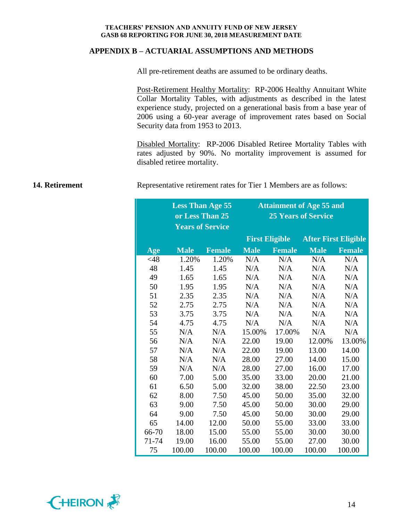#### **APPENDIX B – ACTUARIAL ASSUMPTIONS AND METHODS**

All pre-retirement deaths are assumed to be ordinary deaths.

Post-Retirement Healthy Mortality: RP-2006 Healthy Annuitant White Collar Mortality Tables, with adjustments as described in the latest experience study, projected on a generational basis from a base year of 2006 using a 60-year average of improvement rates based on Social Security data from 1953 to 2013.

Disabled Mortality: RP-2006 Disabled Retiree Mortality Tables with rates adjusted by 90%. No mortality improvement is assumed for disabled retiree mortality.

**14. Retirement** Representative retirement rates for Tier 1 Members are as follows:

|        | <b>Less Than Age 55</b><br>or Less Than 25<br><b>Years of Service</b> |               | <b>Attainment of Age 55 and</b><br><b>25 Years of Service</b> |                       |                             |               |
|--------|-----------------------------------------------------------------------|---------------|---------------------------------------------------------------|-----------------------|-----------------------------|---------------|
|        |                                                                       |               |                                                               | <b>First Eligible</b> | <b>After First Eligible</b> |               |
| Age    | <b>Male</b>                                                           | <b>Female</b> | <b>Male</b>                                                   | <b>Female</b>         | <b>Male</b>                 | <b>Female</b> |
| $<$ 48 | 1.20%                                                                 | 1.20%         | N/A                                                           | N/A                   | N/A                         | N/A           |
| 48     | 1.45                                                                  | 1.45          | N/A                                                           | N/A                   | N/A                         | N/A           |
| 49     | 1.65                                                                  | 1.65          | N/A                                                           | N/A                   | N/A                         | N/A           |
| 50     | 1.95                                                                  | 1.95          | N/A                                                           | N/A                   | N/A                         | N/A           |
| 51     | 2.35                                                                  | 2.35          | N/A                                                           | N/A                   | N/A                         | N/A           |
| 52     | 2.75                                                                  | 2.75          | N/A                                                           | N/A                   | N/A                         | N/A           |
| 53     | 3.75                                                                  | 3.75          | N/A                                                           | N/A                   | N/A                         | N/A           |
| 54     | 4.75                                                                  | 4.75          | N/A                                                           | N/A                   | N/A                         | N/A           |
| 55     | N/A                                                                   | N/A           | 15.00%                                                        | 17.00%                | N/A                         | N/A           |
| 56     | N/A                                                                   | N/A           | 22.00                                                         | 19.00                 | 12.00%                      | 13.00%        |
| 57     | N/A                                                                   | N/A           | 22.00                                                         | 19.00                 | 13.00                       | 14.00         |
| 58     | N/A                                                                   | N/A           | 28.00                                                         | 27.00                 | 14.00                       | 15.00         |
| 59     | N/A                                                                   | N/A           | 28.00                                                         | 27.00                 | 16.00                       | 17.00         |
| 60     | 7.00                                                                  | 5.00          | 35.00                                                         | 33.00                 | 20.00                       | 21.00         |
| 61     | 6.50                                                                  | 5.00          | 32.00                                                         | 38.00                 | 22.50                       | 23.00         |
| 62     | 8.00                                                                  | 7.50          | 45.00                                                         | 50.00                 | 35.00                       | 32.00         |
| 63     | 9.00                                                                  | 7.50          | 45.00                                                         | 50.00                 | 30.00                       | 29.00         |
| 64     | 9.00                                                                  | 7.50          | 45.00                                                         | 50.00                 | 30.00                       | 29.00         |
| 65     | 14.00                                                                 | 12.00         | 50.00                                                         | 55.00                 | 33.00                       | 33.00         |
| 66-70  | 18.00                                                                 | 15.00         | 55.00                                                         | 55.00                 | 30.00                       | 30.00         |
| 71-74  | 19.00                                                                 | 16.00         | 55.00                                                         | 55.00                 | 27.00                       | 30.00         |
| 75     | 100.00                                                                | 100.00        | 100.00                                                        | 100.00                | 100.00                      | 100.00        |

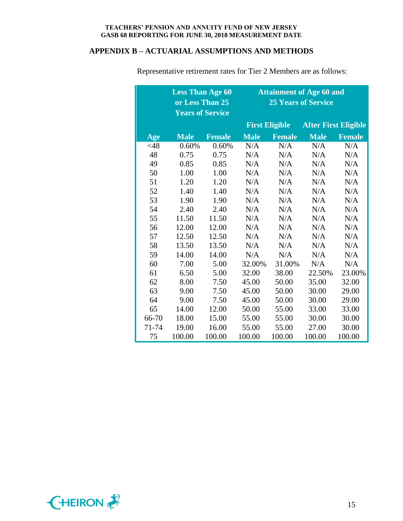# **APPENDIX B – ACTUARIAL ASSUMPTIONS AND METHODS**

|        | <b>Less Than Age 60</b><br><b>Years of Service</b> | or Less Than 25 | <b>Attainment of Age 60 and</b><br><b>25 Years of Service</b> |                       |                             |               |
|--------|----------------------------------------------------|-----------------|---------------------------------------------------------------|-----------------------|-----------------------------|---------------|
|        |                                                    |                 |                                                               | <b>First Eligible</b> | <b>After First Eligible</b> |               |
| Age    | <b>Male</b>                                        | <b>Female</b>   | <b>Male</b>                                                   | <b>Female</b>         | <b>Male</b>                 | <b>Female</b> |
| $<$ 48 | 0.60%                                              | 0.60%           | N/A                                                           | N/A                   | N/A                         | N/A           |
| 48     | 0.75                                               | 0.75            | N/A                                                           | N/A                   | N/A                         | N/A           |
| 49     | 0.85                                               | 0.85            | N/A                                                           | N/A                   | N/A                         | N/A           |
| 50     | 1.00                                               | 1.00            | N/A                                                           | N/A                   | N/A                         | N/A           |
| 51     | 1.20                                               | 1.20            | N/A                                                           | N/A                   | N/A                         | N/A           |
| 52     | 1.40                                               | 1.40            | N/A                                                           | N/A                   | N/A                         | N/A           |
| 53     | 1.90                                               | 1.90            | N/A                                                           | N/A                   | N/A                         | N/A           |
| 54     | 2.40                                               | 2.40            | N/A                                                           | N/A                   | N/A                         | N/A           |
| 55     | 11.50                                              | 11.50           | N/A                                                           | N/A                   | N/A                         | N/A           |
| 56     | 12.00                                              | 12.00           | N/A                                                           | N/A                   | N/A                         | N/A           |
| 57     | 12.50                                              | 12.50           | N/A                                                           | N/A                   | N/A                         | N/A           |
| 58     | 13.50                                              | 13.50           | N/A                                                           | N/A                   | N/A                         | N/A           |
| 59     | 14.00                                              | 14.00           | N/A                                                           | N/A                   | N/A                         | N/A           |
| 60     | 7.00                                               | 5.00            | 32.00%                                                        | 31.00%                | N/A                         | N/A           |
| 61     | 6.50                                               | 5.00            | 32.00                                                         | 38.00                 | 22.50%                      | 23.00%        |
| 62     | 8.00                                               | 7.50            | 45.00                                                         | 50.00                 | 35.00                       | 32.00         |
| 63     | 9.00                                               | 7.50            | 45.00                                                         | 50.00                 | 30.00                       | 29.00         |
| 64     | 9.00                                               | 7.50            | 45.00                                                         | 50.00                 | 30.00                       | 29.00         |
| 65     | 14.00                                              | 12.00           | 50.00                                                         | 55.00                 | 33.00                       | 33.00         |
| 66-70  | 18.00                                              | 15.00           | 55.00                                                         | 55.00                 | 30.00                       | 30.00         |
| 71-74  | 19.00                                              | 16.00           | 55.00                                                         | 55.00                 | 27.00                       | 30.00         |
| 75     | 100.00                                             | 100.00          | 100.00                                                        | 100.00                | 100.00                      | 100.00        |

Representative retirement rates for Tier 2 Members are as follows:

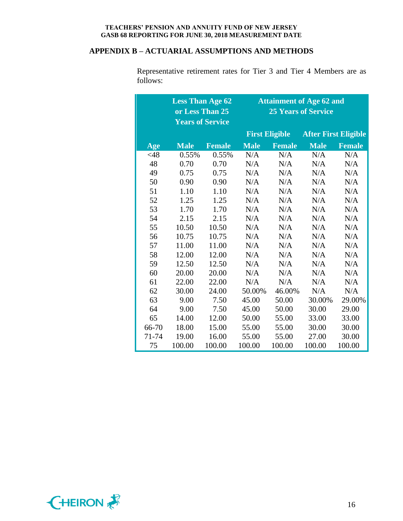## **APPENDIX B – ACTUARIAL ASSUMPTIONS AND METHODS**

|        | <b>Less Than Age 62</b> |               | <b>Attainment of Age 62 and</b> |                            |                             |               |  |  |  |
|--------|-------------------------|---------------|---------------------------------|----------------------------|-----------------------------|---------------|--|--|--|
|        | or Less Than 25         |               |                                 | <b>25 Years of Service</b> |                             |               |  |  |  |
|        | <b>Years of Service</b> |               |                                 |                            |                             |               |  |  |  |
|        |                         |               |                                 | <b>First Eligible</b>      | <b>After First Eligible</b> |               |  |  |  |
| Age    | <b>Male</b>             | <b>Female</b> | <b>Male</b>                     | <b>Female</b>              | <b>Male</b>                 | <b>Female</b> |  |  |  |
| $<$ 48 | 0.55%                   | 0.55%         | N/A                             | N/A                        | N/A                         | N/A           |  |  |  |
| 48     | 0.70                    | 0.70          | N/A                             | N/A                        | N/A                         | N/A           |  |  |  |
| 49     | 0.75                    | 0.75          | N/A                             | N/A                        | N/A                         | N/A           |  |  |  |
| 50     | 0.90                    | 0.90          | N/A                             | N/A                        | N/A                         | N/A           |  |  |  |
| 51     | 1.10                    | 1.10          | N/A                             | N/A                        | N/A                         | N/A           |  |  |  |
| 52     | 1.25                    | 1.25          | N/A                             | N/A                        | N/A                         | N/A           |  |  |  |
| 53     | 1.70                    | 1.70          | N/A                             | N/A                        | N/A                         | N/A           |  |  |  |
| 54     | 2.15                    | 2.15          | N/A                             | N/A                        | N/A                         | N/A           |  |  |  |
| 55     | 10.50                   | 10.50         | N/A                             | N/A                        | N/A                         | N/A           |  |  |  |
| 56     | 10.75                   | 10.75         | N/A                             | N/A                        | N/A                         | N/A           |  |  |  |
| 57     | 11.00                   | 11.00         | N/A                             | N/A                        | N/A                         | N/A           |  |  |  |
| 58     | 12.00                   | 12.00         | N/A                             | N/A                        | N/A                         | N/A           |  |  |  |
| 59     | 12.50                   | 12.50         | N/A                             | N/A                        | N/A                         | N/A           |  |  |  |
| 60     | 20.00                   | 20.00         | N/A                             | N/A                        | N/A                         | N/A           |  |  |  |
| 61     | 22.00                   | 22.00         | N/A                             | N/A                        | N/A                         | N/A           |  |  |  |
| 62     | 30.00                   | 24.00         | 50.00%                          | 46.00%                     | N/A                         | N/A           |  |  |  |
| 63     | 9.00                    | 7.50          | 45.00                           | 50.00                      | 30.00%                      | 29.00%        |  |  |  |
| 64     | 9.00                    | 7.50          | 45.00                           | 50.00                      | 30.00                       | 29.00         |  |  |  |
| 65     | 14.00                   | 12.00         | 50.00                           | 55.00                      | 33.00                       | 33.00         |  |  |  |
| 66-70  | 18.00                   | 15.00         | 55.00                           | 55.00                      | 30.00                       | 30.00         |  |  |  |
| 71-74  | 19.00                   | 16.00         | 55.00                           | 55.00                      | 27.00                       | 30.00         |  |  |  |
| 75     | 100.00                  | 100.00        | 100.00                          | 100.00                     | 100.00                      | 100.00        |  |  |  |

Representative retirement rates for Tier 3 and Tier 4 Members are as follows:

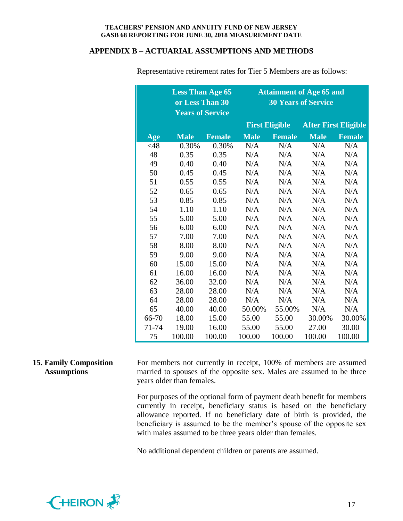#### **APPENDIX B – ACTUARIAL ASSUMPTIONS AND METHODS**

|        | <b>Less Than Age 65</b><br>or Less Than 30<br><b>Years of Service</b> |               | <b>Attainment of Age 65 and</b><br><b>30 Years of Service</b> |                       |                             |               |  |
|--------|-----------------------------------------------------------------------|---------------|---------------------------------------------------------------|-----------------------|-----------------------------|---------------|--|
|        |                                                                       |               |                                                               | <b>First Eligible</b> | <b>After First Eligible</b> |               |  |
| Age    | <b>Male</b>                                                           | <b>Female</b> | <b>Male</b>                                                   | <b>Female</b>         | <b>Male</b>                 | <b>Female</b> |  |
| $<$ 48 | 0.30%                                                                 | 0.30%         | N/A                                                           | N/A                   | N/A                         | N/A           |  |
| 48     | 0.35                                                                  | 0.35          | N/A                                                           | N/A                   | N/A                         | N/A           |  |
| 49     | 0.40                                                                  | 0.40          | N/A                                                           | N/A                   | N/A                         | N/A           |  |
| 50     | 0.45                                                                  | 0.45          | N/A                                                           | N/A                   | N/A                         | N/A           |  |
| 51     | 0.55                                                                  | 0.55          | N/A                                                           | N/A                   | N/A                         | N/A           |  |
| 52     | 0.65                                                                  | 0.65          | N/A                                                           | N/A                   | N/A                         | N/A           |  |
| 53     | 0.85                                                                  | 0.85          | N/A                                                           | N/A                   | N/A                         | N/A           |  |
| 54     | 1.10                                                                  | 1.10          | N/A                                                           | N/A                   | N/A                         | N/A           |  |
| 55     | 5.00                                                                  | 5.00          | N/A                                                           | N/A                   | N/A                         | N/A           |  |
| 56     | 6.00                                                                  | 6.00          | N/A                                                           | N/A                   | N/A                         | N/A           |  |
| 57     | 7.00                                                                  | 7.00          | N/A                                                           | N/A                   | N/A                         | N/A           |  |
| 58     | 8.00                                                                  | 8.00          | N/A                                                           | N/A                   | N/A                         | N/A           |  |
| 59     | 9.00                                                                  | 9.00          | N/A                                                           | N/A                   | N/A                         | N/A           |  |
| 60     | 15.00                                                                 | 15.00         | N/A                                                           | N/A                   | N/A                         | N/A           |  |
| 61     | 16.00                                                                 | 16.00         | N/A                                                           | N/A                   | N/A                         | N/A           |  |
| 62     | 36.00                                                                 | 32.00         | N/A                                                           | N/A                   | N/A                         | N/A           |  |
| 63     | 28.00                                                                 | 28.00         | N/A                                                           | N/A                   | N/A                         | N/A           |  |
| 64     | 28.00                                                                 | 28.00         | N/A                                                           | N/A                   | N/A                         | N/A           |  |
| 65     | 40.00                                                                 | 40.00         | 50.00%                                                        | 55.00%                | N/A                         | N/A           |  |
| 66-70  | 18.00                                                                 | 15.00         | 55.00                                                         | 55.00                 | 30.00%                      | 30.00%        |  |
| 71-74  | 19.00                                                                 | 16.00         | 55.00                                                         | 55.00                 | 27.00                       | 30.00         |  |
| 75     | 100.00                                                                | 100.00        | 100.00                                                        | 100.00                | 100.00                      | 100.00        |  |

Representative retirement rates for Tier 5 Members are as follows:

#### **15. Family Composition Assumptions** For members not currently in receipt, 100% of members are assumed married to spouses of the opposite sex. Males are assumed to be three years older than females.

For purposes of the optional form of payment death benefit for members currently in receipt, beneficiary status is based on the beneficiary allowance reported. If no beneficiary date of birth is provided, the beneficiary is assumed to be the member's spouse of the opposite sex with males assumed to be three years older than females.

No additional dependent children or parents are assumed.

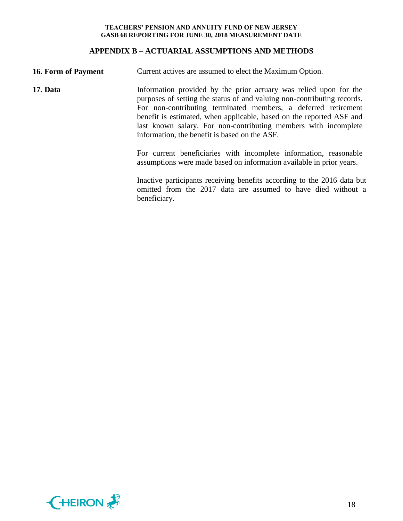## **APPENDIX B – ACTUARIAL ASSUMPTIONS AND METHODS**

| <b>16. Form of Payment</b> | Current actives are assumed to elect the Maximum Option.                                                                                                                                                                                                                                                                                                                                                   |  |  |  |
|----------------------------|------------------------------------------------------------------------------------------------------------------------------------------------------------------------------------------------------------------------------------------------------------------------------------------------------------------------------------------------------------------------------------------------------------|--|--|--|
| 17. Data                   | Information provided by the prior actuary was relied upon for the<br>purposes of setting the status of and valuing non-contributing records.<br>For non-contributing terminated members, a deferred retirement<br>benefit is estimated, when applicable, based on the reported ASF and<br>last known salary. For non-contributing members with incomplete<br>information, the benefit is based on the ASF. |  |  |  |
|                            | For current beneficiaries with incomplete information, reasonable<br>assumptions were made based on information available in prior years.                                                                                                                                                                                                                                                                  |  |  |  |
|                            | Inactive participants receiving benefits according to the 2016 data but<br>omitted from the 2017 data are assumed to have died without a<br>beneficiary.                                                                                                                                                                                                                                                   |  |  |  |

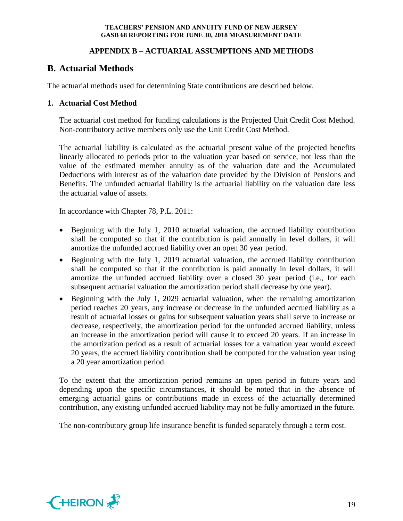## **APPENDIX B – ACTUARIAL ASSUMPTIONS AND METHODS**

# **B. Actuarial Methods**

The actuarial methods used for determining State contributions are described below.

## **1. Actuarial Cost Method**

The actuarial cost method for funding calculations is the Projected Unit Credit Cost Method. Non-contributory active members only use the Unit Credit Cost Method.

The actuarial liability is calculated as the actuarial present value of the projected benefits linearly allocated to periods prior to the valuation year based on service, not less than the value of the estimated member annuity as of the valuation date and the Accumulated Deductions with interest as of the valuation date provided by the Division of Pensions and Benefits. The unfunded actuarial liability is the actuarial liability on the valuation date less the actuarial value of assets.

In accordance with Chapter 78, P.L. 2011:

- Beginning with the July 1, 2010 actuarial valuation, the accrued liability contribution shall be computed so that if the contribution is paid annually in level dollars, it will amortize the unfunded accrued liability over an open 30 year period.
- Beginning with the July 1, 2019 actuarial valuation, the accrued liability contribution shall be computed so that if the contribution is paid annually in level dollars, it will amortize the unfunded accrued liability over a closed 30 year period (i.e., for each subsequent actuarial valuation the amortization period shall decrease by one year).
- Beginning with the July 1, 2029 actuarial valuation, when the remaining amortization period reaches 20 years, any increase or decrease in the unfunded accrued liability as a result of actuarial losses or gains for subsequent valuation years shall serve to increase or decrease, respectively, the amortization period for the unfunded accrued liability, unless an increase in the amortization period will cause it to exceed 20 years. If an increase in the amortization period as a result of actuarial losses for a valuation year would exceed 20 years, the accrued liability contribution shall be computed for the valuation year using a 20 year amortization period.

To the extent that the amortization period remains an open period in future years and depending upon the specific circumstances, it should be noted that in the absence of emerging actuarial gains or contributions made in excess of the actuarially determined contribution, any existing unfunded accrued liability may not be fully amortized in the future.

The non-contributory group life insurance benefit is funded separately through a term cost.

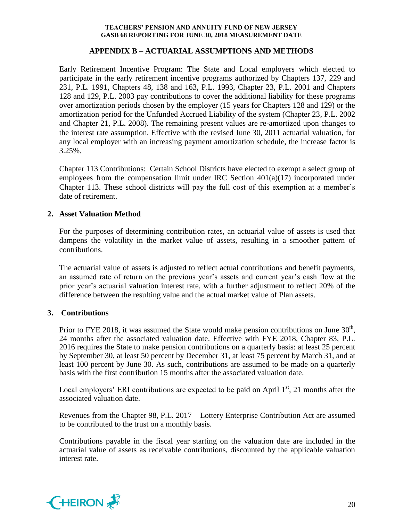## **APPENDIX B – ACTUARIAL ASSUMPTIONS AND METHODS**

Early Retirement Incentive Program: The State and Local employers which elected to participate in the early retirement incentive programs authorized by Chapters 137, 229 and 231, P.L. 1991, Chapters 48, 138 and 163, P.L. 1993, Chapter 23, P.L. 2001 and Chapters 128 and 129, P.L. 2003 pay contributions to cover the additional liability for these programs over amortization periods chosen by the employer (15 years for Chapters 128 and 129) or the amortization period for the Unfunded Accrued Liability of the system (Chapter 23, P.L. 2002 and Chapter 21, P.L. 2008). The remaining present values are re-amortized upon changes to the interest rate assumption. Effective with the revised June 30, 2011 actuarial valuation, for any local employer with an increasing payment amortization schedule, the increase factor is 3.25%.

Chapter 113 Contributions: Certain School Districts have elected to exempt a select group of employees from the compensation limit under IRC Section 401(a)(17) incorporated under Chapter 113. These school districts will pay the full cost of this exemption at a member's date of retirement.

## **2. Asset Valuation Method**

For the purposes of determining contribution rates, an actuarial value of assets is used that dampens the volatility in the market value of assets, resulting in a smoother pattern of contributions.

The actuarial value of assets is adjusted to reflect actual contributions and benefit payments, an assumed rate of return on the previous year's assets and current year's cash flow at the prior year's actuarial valuation interest rate, with a further adjustment to reflect 20% of the difference between the resulting value and the actual market value of Plan assets.

## **3. Contributions**

Prior to FYE 2018, it was assumed the State would make pension contributions on June  $30<sup>th</sup>$ , 24 months after the associated valuation date. Effective with FYE 2018, Chapter 83, P.L. 2016 requires the State to make pension contributions on a quarterly basis: at least 25 percent by September 30, at least 50 percent by December 31, at least 75 percent by March 31, and at least 100 percent by June 30. As such, contributions are assumed to be made on a quarterly basis with the first contribution 15 months after the associated valuation date.

Local employers' ERI contributions are expected to be paid on April  $1<sup>st</sup>$ , 21 months after the associated valuation date.

Revenues from the Chapter 98, P.L. 2017 – Lottery Enterprise Contribution Act are assumed to be contributed to the trust on a monthly basis.

Contributions payable in the fiscal year starting on the valuation date are included in the actuarial value of assets as receivable contributions, discounted by the applicable valuation interest rate.

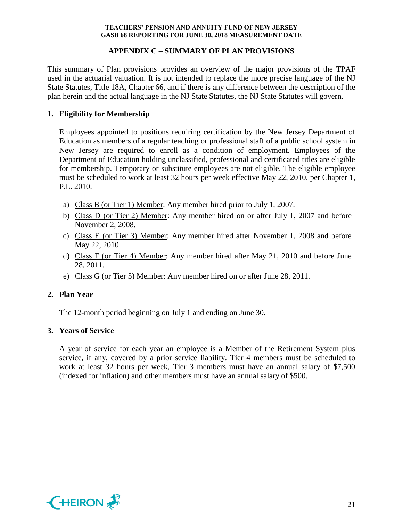## **APPENDIX C – SUMMARY OF PLAN PROVISIONS**

This summary of Plan provisions provides an overview of the major provisions of the TPAF used in the actuarial valuation. It is not intended to replace the more precise language of the NJ State Statutes, Title 18A, Chapter 66, and if there is any difference between the description of the plan herein and the actual language in the NJ State Statutes, the NJ State Statutes will govern.

## **1. Eligibility for Membership**

Employees appointed to positions requiring certification by the New Jersey Department of Education as members of a regular teaching or professional staff of a public school system in New Jersey are required to enroll as a condition of employment. Employees of the Department of Education holding unclassified, professional and certificated titles are eligible for membership. Temporary or substitute employees are not eligible. The eligible employee must be scheduled to work at least 32 hours per week effective May 22, 2010, per Chapter 1, P.L. 2010.

- a) Class B (or Tier 1) Member: Any member hired prior to July 1, 2007.
- b) Class D (or Tier 2) Member: Any member hired on or after July 1, 2007 and before November 2, 2008.
- c) Class E (or Tier 3) Member: Any member hired after November 1, 2008 and before May 22, 2010.
- d) Class F (or Tier 4) Member: Any member hired after May 21, 2010 and before June 28, 2011.
- e) Class G (or Tier 5) Member: Any member hired on or after June 28, 2011.

## **2. Plan Year**

The 12-month period beginning on July 1 and ending on June 30.

### **3. Years of Service**

A year of service for each year an employee is a Member of the Retirement System plus service, if any, covered by a prior service liability. Tier 4 members must be scheduled to work at least 32 hours per week, Tier 3 members must have an annual salary of \$7,500 (indexed for inflation) and other members must have an annual salary of \$500.

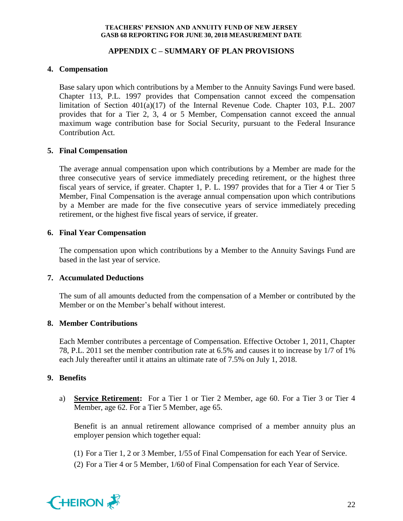## **APPENDIX C – SUMMARY OF PLAN PROVISIONS**

## **4. Compensation**

Base salary upon which contributions by a Member to the Annuity Savings Fund were based. Chapter 113, P.L. 1997 provides that Compensation cannot exceed the compensation limitation of Section 401(a)(17) of the Internal Revenue Code. Chapter 103, P.L. 2007 provides that for a Tier 2, 3, 4 or 5 Member, Compensation cannot exceed the annual maximum wage contribution base for Social Security, pursuant to the Federal Insurance Contribution Act.

## **5. Final Compensation**

The average annual compensation upon which contributions by a Member are made for the three consecutive years of service immediately preceding retirement, or the highest three fiscal years of service, if greater. Chapter 1, P. L. 1997 provides that for a Tier 4 or Tier 5 Member, Final Compensation is the average annual compensation upon which contributions by a Member are made for the five consecutive years of service immediately preceding retirement, or the highest five fiscal years of service, if greater.

### **6. Final Year Compensation**

The compensation upon which contributions by a Member to the Annuity Savings Fund are based in the last year of service.

### **7. Accumulated Deductions**

The sum of all amounts deducted from the compensation of a Member or contributed by the Member or on the Member's behalf without interest.

## **8. Member Contributions**

Each Member contributes a percentage of Compensation. Effective October 1, 2011, Chapter 78, P.L. 2011 set the member contribution rate at 6.5% and causes it to increase by 1/7 of 1% each July thereafter until it attains an ultimate rate of 7.5% on July 1, 2018.

### **9. Benefits**

a) **Service Retirement:** For a Tier 1 or Tier 2 Member, age 60. For a Tier 3 or Tier 4 Member, age 62. For a Tier 5 Member, age 65.

Benefit is an annual retirement allowance comprised of a member annuity plus an employer pension which together equal:

(1) For a Tier 1, 2 or 3 Member, 1/55 of Final Compensation for each Year of Service.

(2) For a Tier 4 or 5 Member, 1/60 of Final Compensation for each Year of Service.

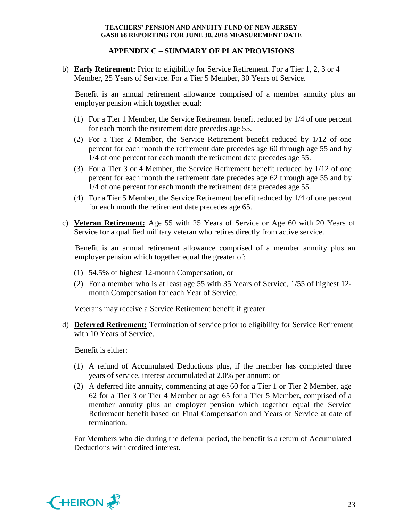## **APPENDIX C – SUMMARY OF PLAN PROVISIONS**

b) **Early Retirement:** Prior to eligibility for Service Retirement. For a Tier 1, 2, 3 or 4 Member, 25 Years of Service. For a Tier 5 Member, 30 Years of Service.

Benefit is an annual retirement allowance comprised of a member annuity plus an employer pension which together equal:

- (1) For a Tier 1 Member, the Service Retirement benefit reduced by 1/4 of one percent for each month the retirement date precedes age 55.
- (2) For a Tier 2 Member, the Service Retirement benefit reduced by 1/12 of one percent for each month the retirement date precedes age 60 through age 55 and by 1/4 of one percent for each month the retirement date precedes age 55.
- (3) For a Tier 3 or 4 Member, the Service Retirement benefit reduced by 1/12 of one percent for each month the retirement date precedes age 62 through age 55 and by 1/4 of one percent for each month the retirement date precedes age 55.
- (4) For a Tier 5 Member, the Service Retirement benefit reduced by 1/4 of one percent for each month the retirement date precedes age 65.
- c) **Veteran Retirement:** Age 55 with 25 Years of Service or Age 60 with 20 Years of Service for a qualified military veteran who retires directly from active service.

Benefit is an annual retirement allowance comprised of a member annuity plus an employer pension which together equal the greater of:

- (1) 54.5% of highest 12-month Compensation, or
- (2) For a member who is at least age 55 with 35 Years of Service, 1/55 of highest 12 month Compensation for each Year of Service.

Veterans may receive a Service Retirement benefit if greater.

d) **Deferred Retirement:** Termination of service prior to eligibility for Service Retirement with 10 Years of Service.

Benefit is either:

- (1) A refund of Accumulated Deductions plus, if the member has completed three years of service, interest accumulated at 2.0% per annum; or
- (2) A deferred life annuity, commencing at age 60 for a Tier 1 or Tier 2 Member, age 62 for a Tier 3 or Tier 4 Member or age 65 for a Tier 5 Member, comprised of a member annuity plus an employer pension which together equal the Service Retirement benefit based on Final Compensation and Years of Service at date of termination.

For Members who die during the deferral period, the benefit is a return of Accumulated Deductions with credited interest.

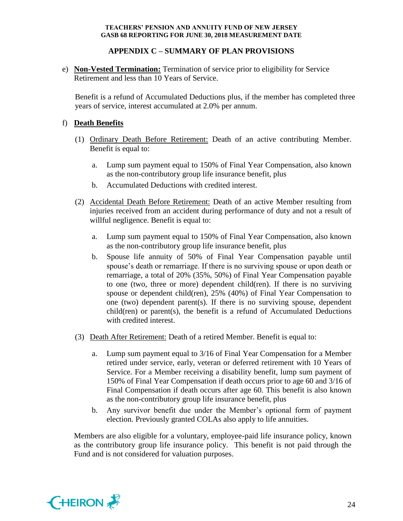## **APPENDIX C – SUMMARY OF PLAN PROVISIONS**

e) **Non-Vested Termination:** Termination of service prior to eligibility for Service Retirement and less than 10 Years of Service.

Benefit is a refund of Accumulated Deductions plus, if the member has completed three years of service, interest accumulated at 2.0% per annum.

## f) **Death Benefits**

- (1) Ordinary Death Before Retirement: Death of an active contributing Member. Benefit is equal to:
	- a. Lump sum payment equal to 150% of Final Year Compensation, also known as the non-contributory group life insurance benefit, plus
	- b. Accumulated Deductions with credited interest.
- (2) Accidental Death Before Retirement: Death of an active Member resulting from injuries received from an accident during performance of duty and not a result of willful negligence. Benefit is equal to:
	- a. Lump sum payment equal to 150% of Final Year Compensation, also known as the non-contributory group life insurance benefit, plus
	- b. Spouse life annuity of 50% of Final Year Compensation payable until spouse's death or remarriage. If there is no surviving spouse or upon death or remarriage, a total of 20% (35%, 50%) of Final Year Compensation payable to one (two, three or more) dependent child(ren). If there is no surviving spouse or dependent child(ren), 25% (40%) of Final Year Compensation to one (two) dependent parent(s). If there is no surviving spouse, dependent child(ren) or parent(s), the benefit is a refund of Accumulated Deductions with credited interest.
- (3) Death After Retirement: Death of a retired Member. Benefit is equal to:
	- a. Lump sum payment equal to 3/16 of Final Year Compensation for a Member retired under service, early, veteran or deferred retirement with 10 Years of Service. For a Member receiving a disability benefit, lump sum payment of 150% of Final Year Compensation if death occurs prior to age 60 and 3/16 of Final Compensation if death occurs after age 60. This benefit is also known as the non-contributory group life insurance benefit, plus
	- b. Any survivor benefit due under the Member's optional form of payment election. Previously granted COLAs also apply to life annuities.

Members are also eligible for a voluntary, employee-paid life insurance policy, known as the contributory group life insurance policy. This benefit is not paid through the Fund and is not considered for valuation purposes.

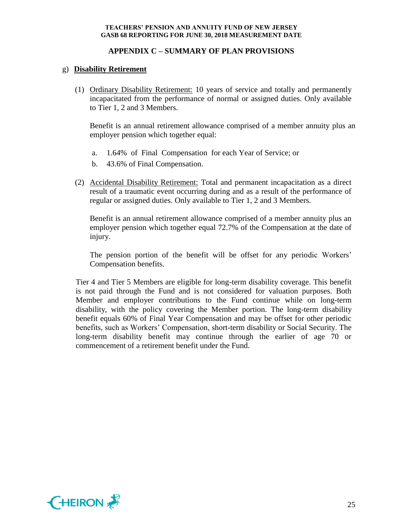## **APPENDIX C – SUMMARY OF PLAN PROVISIONS**

## g) **Disability Retirement**

(1) Ordinary Disability Retirement: 10 years of service and totally and permanently incapacitated from the performance of normal or assigned duties. Only available to Tier 1, 2 and 3 Members.

Benefit is an annual retirement allowance comprised of a member annuity plus an employer pension which together equal:

- a. 1.64% of Final Compensation for each Year of Service; or
- b. 43.6% of Final Compensation.
- (2) Accidental Disability Retirement: Total and permanent incapacitation as a direct result of a traumatic event occurring during and as a result of the performance of regular or assigned duties. Only available to Tier 1, 2 and 3 Members.

Benefit is an annual retirement allowance comprised of a member annuity plus an employer pension which together equal 72.7% of the Compensation at the date of injury.

The pension portion of the benefit will be offset for any periodic Workers' Compensation benefits.

Tier 4 and Tier 5 Members are eligible for long-term disability coverage. This benefit is not paid through the Fund and is not considered for valuation purposes. Both Member and employer contributions to the Fund continue while on long-term disability, with the policy covering the Member portion. The long-term disability benefit equals 60% of Final Year Compensation and may be offset for other periodic benefits, such as Workers' Compensation, short-term disability or Social Security. The long-term disability benefit may continue through the earlier of age 70 or commencement of a retirement benefit under the Fund.

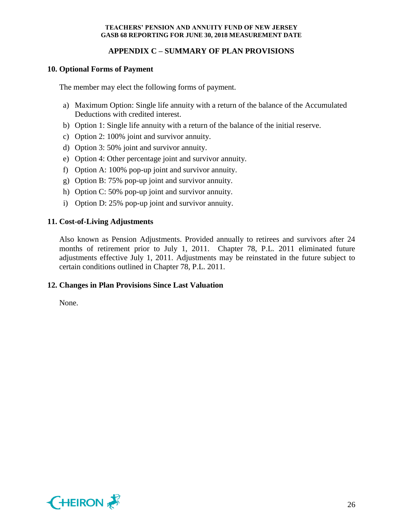## **APPENDIX C – SUMMARY OF PLAN PROVISIONS**

### **10. Optional Forms of Payment**

The member may elect the following forms of payment.

- a) Maximum Option: Single life annuity with a return of the balance of the Accumulated Deductions with credited interest.
- b) Option 1: Single life annuity with a return of the balance of the initial reserve.
- c) Option 2: 100% joint and survivor annuity.
- d) Option 3: 50% joint and survivor annuity.
- e) Option 4: Other percentage joint and survivor annuity.
- f) Option A: 100% pop-up joint and survivor annuity.
- g) Option B: 75% pop-up joint and survivor annuity.
- h) Option C: 50% pop-up joint and survivor annuity.
- i) Option D: 25% pop-up joint and survivor annuity.

### **11. Cost-of-Living Adjustments**

Also known as Pension Adjustments. Provided annually to retirees and survivors after 24 months of retirement prior to July 1, 2011. Chapter 78, P.L. 2011 eliminated future adjustments effective July 1, 2011. Adjustments may be reinstated in the future subject to certain conditions outlined in Chapter 78, P.L. 2011.

### **12. Changes in Plan Provisions Since Last Valuation**

None.

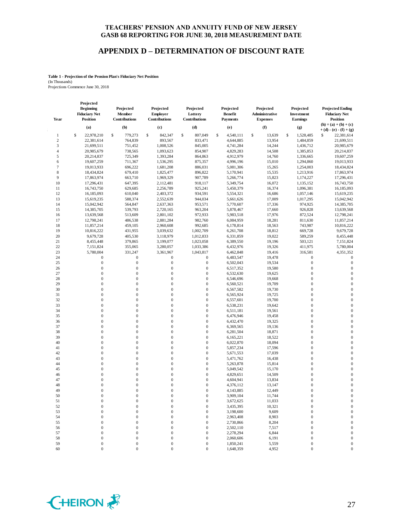#### **APPENDIX D – DETERMINATION OF DISCOUNT RATE**

#### **Table 1 - Projection of the Pension Plan's Fiduciary Net Position** (In Thousands)

Projections Commence June 30, 2018

**Projected** 

| Year                  | <b>Beginning</b><br><b>Fiduciary Net</b><br><b>Position</b> | Projected<br>Member<br>Contributions | Projected<br><b>Employer</b><br>Contributions | Projected<br>Lottery<br>Contributions | Projected<br><b>Benefit</b><br><b>Payments</b> | Projected<br>Administrative<br><b>Expenses</b> | Projected<br>Investment<br><b>Earnings</b> | <b>Projected Ending</b><br><b>Fiduciary Net</b><br><b>Position</b> |
|-----------------------|-------------------------------------------------------------|--------------------------------------|-----------------------------------------------|---------------------------------------|------------------------------------------------|------------------------------------------------|--------------------------------------------|--------------------------------------------------------------------|
|                       | (a)                                                         | (b)                                  | (c)                                           | (d)                                   | (e)                                            | (f)                                            | (g)                                        | $(h) = (a) + (b) + (c)$                                            |
|                       |                                                             |                                      |                                               |                                       |                                                |                                                |                                            | $+ (d) - (e) - (f) + (g)$                                          |
| 1                     | \$<br>22,978,210                                            | \$<br>779,273                        | \$<br>842,347                                 | \$<br>807,049                         | \$<br>4,540,111                                | \$<br>13,639                                   | 1,528,485<br>\$                            | 22,381,614<br>\$                                                   |
| $\boldsymbol{2}$<br>3 | 22,381,614<br>21,699,511                                    | 764,839<br>751,452                   | 893,567<br>1,008,526                          | 833,471<br>845,005                    | 4,644,885<br>4,741,284                         | 13,954<br>14,244                               | 1,484,859                                  | 21,699,511<br>20,985,679                                           |
| 4                     | 20,985,679                                                  | 738,565                              | 1,093,623                                     | 854,907                               | 4,829,283                                      | 14,508                                         | 1,436,712<br>1,385,853                     | 20,214,837                                                         |
| 5                     | 20,214,837                                                  | 725,349                              | 1,393,284                                     | 864,863                               | 4,912,979                                      | 14,760                                         | 1,336,665                                  | 19,607,259                                                         |
| 6                     | 19,607,259                                                  | 711,367                              | 1,536,295                                     | 875,357                               | 4,996,196                                      | 15,010                                         | 1,294,860                                  | 19,013,933                                                         |
| $\overline{7}$        | 19,013,933                                                  | 696,222                              | 1,681,208                                     | 886,031                               | 5,081,306                                      | 15,265                                         | 1,254,003                                  | 18,434,824                                                         |
| 8                     | 18,434,824                                                  | 679,410                              | 1,825,477                                     | 896,822                               | 5,170,941                                      | 15,535                                         | 1,213,916                                  | 17,863,974                                                         |
| 9                     | 17,863,974                                                  | 663,710                              | 1,969,329                                     | 907,789                               | 5,266,774                                      | 15,823                                         | 1,174,227                                  | 17,296,431                                                         |
| 10                    | 17,296,431                                                  | 647,395                              | 2,112,481                                     | 918,117                               | 5,349,754                                      | 16,072                                         | 1,135,152                                  | 16,743,750                                                         |
| 11                    | 16,743,750                                                  | 629,685                              | 2,256,789                                     | 925,241                               | 5,450,379                                      | 16,374                                         | 1,096,381                                  | 16,185,093                                                         |
| 12                    | 16,185,093                                                  | 610,040                              | 2,403,372                                     | 934,591                               | 5,554,321                                      | 16,686                                         | 1,057,146                                  | 15,619,235                                                         |
| 13                    | 15,619,235                                                  | 588,374                              | 2,552,639                                     | 944,034                               | 5,661,626                                      | 17,009                                         | 1,017,295                                  | 15,042,942                                                         |
| 14                    | 15,042,942                                                  | 564,847                              | 2,637,363                                     | 953,571                               | 5,770,607                                      | 17,336                                         | 974,925                                    | 14,385,705                                                         |
| 15                    | 14,385,705                                                  | 539,793                              | 2,720,165                                     | 963,204                               | 5,878,467                                      | 17,660                                         | 926,828                                    | 13,639,568                                                         |
| 16                    | 13,639,568                                                  | 513,609                              | 2,801,102                                     | 972,933                               | 5,983,518                                      | 17,976                                         | 872,524                                    | 12,798,241                                                         |
| 17                    | 12,798,241                                                  | 486,538                              | 2,881,284                                     | 982,760                               | 6,084,959                                      | 18,281                                         | 811,630                                    | 11,857,214                                                         |
| 18                    | 11,857,214                                                  | 459,105                              | 2,960,608                                     | 992,685                               | 6,178,814                                      | 18,563                                         | 743,987                                    | 10,816,222                                                         |
| 19                    | 10,816,222                                                  | 431,955                              | 3,039,632                                     | 1,002,709                             | 6,261,708                                      | 18,812                                         | 669,728                                    | 9,679,728                                                          |
| 20                    | 9,679,728                                                   | 405,530                              | 3,118,979                                     | 1,012,833                             | 6,331,859                                      | 19,022                                         | 589,259                                    | 8,455,448                                                          |
| 21                    | 8,455,448                                                   | 379,865                              | 3,199,077                                     | 1,023,058                             | 6,389,550                                      | 19,196                                         | 503,121                                    | 7,151,824                                                          |
| 22                    | 7,151,824                                                   | 355,065                              | 3,280,057                                     | 1,033,386                             | 6,432,976                                      | 19,326                                         | 411,975                                    | 5,780,004                                                          |
| 23                    | 5,780,004                                                   | 331,247                              | 3,361,967                                     | 1,043,817                             | 6,462,848                                      | 19,416                                         | 316,581                                    | 4,351,352                                                          |
| 24                    | 0                                                           | $\mathbf{0}$                         | $\boldsymbol{0}$                              | $\boldsymbol{0}$                      | 6,483,547                                      | 19,478                                         | $\mathbf{0}$                               | $\boldsymbol{0}$                                                   |
| 25                    | $\boldsymbol{0}$                                            | $\mathbf{0}$                         | $\boldsymbol{0}$                              | $\boldsymbol{0}$                      | 6,502,043                                      | 19,534                                         | $\boldsymbol{0}$                           | $\boldsymbol{0}$                                                   |
| 26                    | 0                                                           | $\boldsymbol{0}$                     | $\boldsymbol{0}$                              | $\boldsymbol{0}$                      | 6,517,352                                      | 19,580                                         | $\boldsymbol{0}$                           | $\mathbf{0}$                                                       |
| 27                    | $\overline{0}$                                              | $\mathbf{0}$                         | $\mathbf{0}$                                  | $\boldsymbol{0}$                      | 6,532,630                                      | 19,625                                         | $\mathbf{0}$                               | $\mathbf{0}$                                                       |
| 28                    | $\overline{0}$                                              | $\overline{0}$                       | $\mathbf{0}$                                  | $\boldsymbol{0}$                      | 6,546,696                                      | 19,668                                         | $\boldsymbol{0}$                           | $\mathbf{0}$                                                       |
| 29                    | 0                                                           | $\boldsymbol{0}$                     | $\boldsymbol{0}$                              | $\boldsymbol{0}$                      | 6,560,521                                      | 19,709                                         | $\boldsymbol{0}$                           | $\mathbf{0}$                                                       |
| 30                    | $\overline{0}$                                              | $\boldsymbol{0}$                     | $\boldsymbol{0}$                              | $\mathbf{0}$                          | 6,567,582                                      | 19,730                                         | $\mathbf{0}$                               | $\mathbf{0}$                                                       |
| 31                    | $\overline{0}$                                              | $\mathbf{0}$                         | $\boldsymbol{0}$                              | $\boldsymbol{0}$                      | 6,565,924                                      | 19,725                                         | $\boldsymbol{0}$                           | $\mathbf{0}$                                                       |
| 32                    | $\boldsymbol{0}$                                            | $\mathbf{0}$                         | $\boldsymbol{0}$                              | $\boldsymbol{0}$                      | 6,557,601                                      | 19,700                                         | $\boldsymbol{0}$                           | $\mathbf{0}$                                                       |
| 33                    | $\overline{0}$                                              | $\mathbf{0}$                         | $\mathbf{0}$                                  | $\boldsymbol{0}$                      | 6,538,231                                      | 19,642                                         | $\boldsymbol{0}$                           | $\mathbf{0}$                                                       |
| 34                    | $\overline{0}$                                              | $\mathbf{0}$                         | $\boldsymbol{0}$                              | $\boldsymbol{0}$                      | 6,511,181                                      | 19,561                                         | $\boldsymbol{0}$                           | $\mathbf{0}$                                                       |
| 35                    | $\boldsymbol{0}$                                            | $\overline{0}$                       | $\boldsymbol{0}$                              | $\mathbf{0}$                          | 6,476,946                                      | 19,458                                         | $\boldsymbol{0}$                           | $\mathbf{0}$                                                       |
| 36                    | $\overline{0}$                                              | $\mathbf{0}$                         | $\boldsymbol{0}$                              | $\boldsymbol{0}$                      | 6,432,470                                      | 19,325                                         | $\mathbf{0}$                               | $\mathbf{0}$                                                       |
| 37                    | $\boldsymbol{0}$                                            | $\mathbf{0}$                         | $\mathbf{0}$                                  | $\boldsymbol{0}$                      | 6,369,565                                      | 19,136                                         | $\boldsymbol{0}$                           | $\mathbf{0}$                                                       |
| 38                    | $\boldsymbol{0}$                                            | $\overline{0}$                       | $\boldsymbol{0}$                              | $\mathbf{0}$                          | 6,281,504                                      | 18,871                                         | $\boldsymbol{0}$                           | $\mathbf{0}$                                                       |
| 39                    | $\overline{0}$                                              | $\mathbf{0}$                         | $\mathbf{0}$                                  | $\boldsymbol{0}$                      | 6,165,221                                      | 18,522                                         | $\boldsymbol{0}$                           | $\mathbf{0}$                                                       |
| 40                    | $\boldsymbol{0}$                                            | $\mathbf{0}$                         | $\boldsymbol{0}$                              | $\boldsymbol{0}$                      | 6,022,870                                      | 18,094                                         | $\boldsymbol{0}$                           | $\mathbf{0}$                                                       |
| 41                    | $\overline{0}$                                              | $\overline{0}$                       | $\mathbf{0}$                                  | $\boldsymbol{0}$                      | 5,857,234                                      | 17,596                                         | $\boldsymbol{0}$                           | $\mathbf{0}$                                                       |
| 42                    | $\boldsymbol{0}$                                            | $\mathbf{0}$                         | $\boldsymbol{0}$                              | $\boldsymbol{0}$                      | 5,671,553                                      | 17,039                                         | $\boldsymbol{0}$                           | $\mathbf{0}$                                                       |
| 43                    | 0                                                           | $\mathbf{0}$                         | $\mathbf{0}$                                  | $\mathbf{0}$                          | 5,471,762                                      | 16,438                                         | $\boldsymbol{0}$                           | $\mathbf{0}$                                                       |
| 44                    | $\bf{0}$                                                    | $\boldsymbol{0}$                     | $\boldsymbol{0}$                              | $\boldsymbol{0}$                      | 5,263,878                                      | 15,814                                         | $\boldsymbol{0}$                           | $\mathbf{0}$                                                       |
| 45                    | $\boldsymbol{0}$                                            | $\mathbf{0}$                         | $\mathbf{0}$                                  | $\boldsymbol{0}$                      | 5,049,542                                      | 15,170                                         | $\boldsymbol{0}$                           | $\mathbf{0}$                                                       |
| 46                    | $\mathbf{0}$                                                | $\mathbf{0}$                         | $\boldsymbol{0}$                              | $\boldsymbol{0}$                      | 4,829,651                                      | 14,509                                         | $\boldsymbol{0}$                           | $\mathbf{0}$                                                       |
| 47                    | $\overline{0}$                                              | $\mathbf{0}$                         | $\mathbf{0}$                                  | $\boldsymbol{0}$                      | 4,604,941                                      | 13,834                                         | $\mathbf{0}$                               | $\mathbf{0}$                                                       |
| 48                    | $\overline{0}$                                              | $\overline{0}$                       | $\mathbf{0}$                                  | $\mathbf{0}$                          | 4,376,112                                      | 13,147                                         | $\mathbf{0}$                               | $\mathbf{0}$                                                       |
| 49                    | $\Omega$                                                    | $\mathbf{0}$                         | $\boldsymbol{0}$                              | $\boldsymbol{0}$                      | 4,143,885                                      | 12,449                                         | $\mathbf{0}$                               | $\mathbf{0}$                                                       |
| 50                    | $\overline{0}$                                              | $\boldsymbol{0}$                     | $\mathbf{0}$                                  | $\boldsymbol{0}$                      | 3,909,104                                      | 11,744                                         | $\mathbf{0}$                               | $\mathbf{0}$<br>$\Omega$                                           |
| 51                    |                                                             |                                      |                                               | 0                                     | 3,672,625                                      | 11,033                                         |                                            |                                                                    |
| 52                    | 0                                                           | 0                                    | $\mathbf{0}$                                  | $\boldsymbol{0}$                      | 3,435,395                                      | 10,321                                         | $\boldsymbol{0}$                           | $\boldsymbol{0}$                                                   |
| 53                    | 0                                                           | $\boldsymbol{0}$                     | $\boldsymbol{0}$                              | $\boldsymbol{0}$                      | 3,198,600                                      | 9,609                                          | $\boldsymbol{0}$                           | $\mathbf{0}$                                                       |
| 54                    | 0                                                           | $\boldsymbol{0}$                     | $\boldsymbol{0}$                              | $\boldsymbol{0}$                      | 2,963,408                                      | 8,903                                          | $\mathbf{0}$                               | $\mathbf{0}$                                                       |
| 55                    | 0<br>0                                                      | 0<br>0                               | $\boldsymbol{0}$<br>$\boldsymbol{0}$          | $\boldsymbol{0}$<br>$\boldsymbol{0}$  | 2,730,866<br>2,502,110                         | 8,204                                          | $\mathbf{0}$<br>$\boldsymbol{0}$           | $\mathbf{0}$<br>$\mathbf{0}$                                       |
| 56<br>57              | 0                                                           | 0                                    | $\boldsymbol{0}$                              | $\boldsymbol{0}$                      | 2,278,294                                      | 7,517<br>6,844                                 | $\bf{0}$                                   | $\mathbf{0}$                                                       |
| 58                    | 0                                                           | $\boldsymbol{0}$                     | $\boldsymbol{0}$                              | $\boldsymbol{0}$                      | 2,060,606                                      | 6,191                                          | $\bf{0}$                                   | $\boldsymbol{0}$                                                   |
| 59                    | 0                                                           | $\boldsymbol{0}$                     | $\boldsymbol{0}$                              | $\boldsymbol{0}$                      | 1,850,241                                      | 5,559                                          | $\boldsymbol{0}$                           | $\boldsymbol{0}$                                                   |
| 60                    | $\overline{0}$                                              | $\boldsymbol{0}$                     | $\mathbf{0}$                                  | $\boldsymbol{0}$                      | 1,648,359                                      | 4,952                                          | $\mathbf{0}$                               | $\boldsymbol{0}$                                                   |
|                       |                                                             |                                      |                                               |                                       |                                                |                                                |                                            |                                                                    |

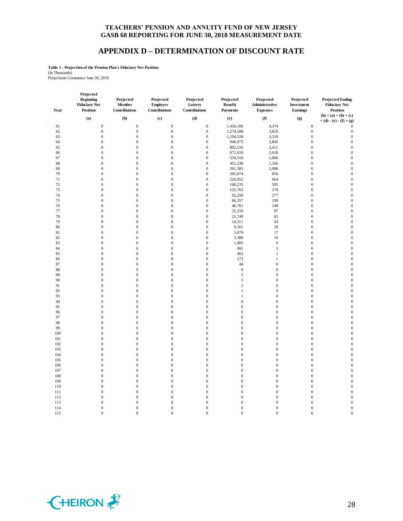#### **APPENDIX D – DETERMINATION OF DISCOUNT RATE**

**Table 1 - Projection of the Pension Plan's Fiduciary Net Position**

(In Thousands) Projections Commence June 30, 2018

| Year | Projected<br><b>Beginning</b><br><b>Fiduciary Net</b><br><b>Position</b> | Projected<br>Member<br>Contributions | Projected<br>Employer<br>Contributions | Projected<br>Lottery<br>Contributions | Projected<br><b>Benefit</b><br><b>Payments</b> | Projected<br>Administrative<br><b>Expenses</b> | Projected<br>Investment<br>Earnings | <b>Projected Ending</b><br><b>Fiduciary Net</b><br><b>Position</b> |
|------|--------------------------------------------------------------------------|--------------------------------------|----------------------------------------|---------------------------------------|------------------------------------------------|------------------------------------------------|-------------------------------------|--------------------------------------------------------------------|
|      | (a)                                                                      | (b)                                  | (c)                                    | (d)                                   | (e)                                            | (f)                                            | (g)                                 | $(h) = (a) + (b) + (c)$<br>$+ (d) - (e) - (f) + (g)$               |
| 61   | $\boldsymbol{0}$                                                         | $\boldsymbol{0}$                     | $\mathbf{0}$                           | $\boldsymbol{0}$                      | 1,456,106                                      | 4,374                                          | $\boldsymbol{0}$                    | $\mathbf{0}$                                                       |
| 62   | $\boldsymbol{0}$                                                         | $\boldsymbol{0}$                     | $\mathbf{0}$                           | $\mathbf{0}$                          | 1,274,508                                      | 3,829                                          | $\boldsymbol{0}$                    | $\mathbf{0}$                                                       |
| 63   | $\boldsymbol{0}$                                                         | $\boldsymbol{0}$                     | $\mathbf{0}$                           | $\boldsymbol{0}$                      | 1,104,526                                      | 3,318                                          | $\boldsymbol{0}$                    | $\mathbf{0}$                                                       |
| 64   | $\boldsymbol{0}$                                                         | $\boldsymbol{0}$                     | $\boldsymbol{0}$                       | $\boldsymbol{0}$                      | 946,973                                        | 2,845                                          | $\boldsymbol{0}$                    | $\mathbf{0}$                                                       |
| 65   | $\boldsymbol{0}$                                                         | $\boldsymbol{0}$                     | $\mathbf{0}$                           | $\boldsymbol{0}$                      | 802,516                                        | 2,411                                          | $\boldsymbol{0}$                    | $\mathbf{0}$                                                       |
| 66   | $\boldsymbol{0}$                                                         | $\mathbf 0$                          | $\mathbf{0}$                           | $\boldsymbol{0}$                      | 671,610                                        | 2,018                                          | $\boldsymbol{0}$                    | $\mathbf{0}$                                                       |
| 67   | $\boldsymbol{0}$                                                         | $\boldsymbol{0}$                     | $\boldsymbol{0}$                       | $\boldsymbol{0}$                      | 554,510                                        | 1,666                                          | $\boldsymbol{0}$                    | $\mathbf{0}$                                                       |
| 68   | $\boldsymbol{0}$                                                         | $\boldsymbol{0}$                     | $\boldsymbol{0}$                       | $\boldsymbol{0}$                      | 451,238                                        | 1,356                                          | $\boldsymbol{0}$                    | $\boldsymbol{0}$                                                   |
| 69   | $\boldsymbol{0}$                                                         | $\boldsymbol{0}$                     | $\boldsymbol{0}$                       | $\boldsymbol{0}$                      | 361,585                                        | 1,086                                          | $\boldsymbol{0}$                    | $\boldsymbol{0}$                                                   |
| 70   | $\mathbf{0}$                                                             | $\boldsymbol{0}$                     | $\boldsymbol{0}$                       | $\boldsymbol{0}$                      | 285,074                                        | 856                                            | $\boldsymbol{0}$                    | $\boldsymbol{0}$                                                   |
| 71   | $\mathbf{0}$                                                             | $\mathbf{0}$                         | $\mathbf{0}$                           | $\mathbf{0}$                          |                                                | 664                                            | $\boldsymbol{0}$                    | $\mathbf{0}$                                                       |
|      |                                                                          |                                      |                                        |                                       | 220,952                                        |                                                |                                     |                                                                    |
| 72   | $\mathbf{0}$                                                             | $\mathbf{0}$                         | $\mathbf{0}$                           | $\mathbf{0}$                          | 168,235                                        | 505                                            | $\boldsymbol{0}$                    | $\mathbf{0}$                                                       |
| 73   | $\boldsymbol{0}$                                                         | $\boldsymbol{0}$                     | $\boldsymbol{0}$                       | $\boldsymbol{0}$                      | 125,763                                        | 378                                            | $\boldsymbol{0}$                    | $\mathbf{0}$                                                       |
| 74   | $\boldsymbol{0}$                                                         | $\boldsymbol{0}$                     | $\boldsymbol{0}$                       | $\boldsymbol{0}$                      | 92,250                                         | 277                                            | $\boldsymbol{0}$                    | $\mathbf{0}$                                                       |
| 75   | $\boldsymbol{0}$                                                         | $\boldsymbol{0}$                     | $\boldsymbol{0}$                       | $\boldsymbol{0}$                      | 66,357                                         | 199                                            | $\boldsymbol{0}$                    | $\mathbf{0}$                                                       |
| 76   | $\boldsymbol{0}$                                                         | $\boldsymbol{0}$                     | $\boldsymbol{0}$                       | $\boldsymbol{0}$                      | 46,761                                         | 140                                            | $\boldsymbol{0}$                    | $\mathbf{0}$                                                       |
| 77   | $\boldsymbol{0}$                                                         | $\boldsymbol{0}$                     | $\boldsymbol{0}$                       | $\boldsymbol{0}$                      | 32,259                                         | 97                                             | $\boldsymbol{0}$                    | $\mathbf{0}$                                                       |
| 78   | $\boldsymbol{0}$                                                         | $\boldsymbol{0}$                     | $\boldsymbol{0}$                       | $\boldsymbol{0}$                      | 21,749                                         | 65                                             | $\boldsymbol{0}$                    | $\mathbf{0}$                                                       |
| 79   | $\boldsymbol{0}$                                                         | $\boldsymbol{0}$                     | $\boldsymbol{0}$                       | $\boldsymbol{0}$                      | 14,311                                         | 43                                             | $\boldsymbol{0}$                    | $\boldsymbol{0}$                                                   |
| 80   | $\boldsymbol{0}$                                                         | $\boldsymbol{0}$                     | $\boldsymbol{0}$                       | $\boldsymbol{0}$                      | 9,161                                          | 28                                             | $\boldsymbol{0}$                    | $\boldsymbol{0}$                                                   |
| 81   | $\boldsymbol{0}$                                                         | $\boldsymbol{0}$                     | $\boldsymbol{0}$                       | $\boldsymbol{0}$                      | 5,679                                          | 17                                             | $\boldsymbol{0}$                    | $\boldsymbol{0}$                                                   |
| 82   | $\boldsymbol{0}$                                                         | $\boldsymbol{0}$                     | $\mathbf{0}$                           | $\boldsymbol{0}$                      | 3,380                                          | $10\,$                                         | $\boldsymbol{0}$                    | $\boldsymbol{0}$                                                   |
| 83   | $\boldsymbol{0}$                                                         | $\boldsymbol{0}$                     | $\boldsymbol{0}$                       | $\boldsymbol{0}$                      | 1,905                                          | 6                                              | $\boldsymbol{0}$                    | $\boldsymbol{0}$                                                   |
| 84   | $\mathbf{0}$                                                             | $\boldsymbol{0}$                     | $\boldsymbol{0}$                       | $\boldsymbol{0}$                      | 991                                            | $\mathfrak z$                                  | $\boldsymbol{0}$                    | $\boldsymbol{0}$                                                   |
| 85   | $\mathbf{0}$                                                             | $\boldsymbol{0}$                     | $\boldsymbol{0}$                       | $\boldsymbol{0}$                      | 462                                            | $\mathbf{1}$                                   | $\boldsymbol{0}$                    | $\mathbf{0}$                                                       |
| 86   | $\boldsymbol{0}$                                                         | $\boldsymbol{0}$                     | $\boldsymbol{0}$                       | $\boldsymbol{0}$                      | 173                                            | $\mathbf{1}$                                   | $\boldsymbol{0}$                    | $\mathbf{0}$                                                       |
| 87   | $\boldsymbol{0}$                                                         | $\boldsymbol{0}$                     | $\boldsymbol{0}$                       | $\boldsymbol{0}$                      | 44                                             | $\boldsymbol{0}$                               | $\boldsymbol{0}$                    | $\mathbf{0}$                                                       |
| 88   | $\boldsymbol{0}$                                                         | $\boldsymbol{0}$                     | $\boldsymbol{0}$                       | $\boldsymbol{0}$                      | $\,$ 8 $\,$                                    | $\boldsymbol{0}$                               | $\boldsymbol{0}$                    | $\mathbf{0}$                                                       |
| 89   | $\boldsymbol{0}$                                                         | $\boldsymbol{0}$                     | $\mathbf{0}$                           | $\boldsymbol{0}$                      | $\sqrt{5}$                                     | $\boldsymbol{0}$                               | $\boldsymbol{0}$                    | $\mathbf{0}$                                                       |
| 90   | $\boldsymbol{0}$                                                         | $\boldsymbol{0}$                     | $\boldsymbol{0}$                       | $\boldsymbol{0}$                      | $\mathfrak z$                                  | $\boldsymbol{0}$                               | $\boldsymbol{0}$                    | $\boldsymbol{0}$                                                   |
| 91   | $\boldsymbol{0}$                                                         | $\boldsymbol{0}$                     | $\mathbf{0}$                           | $\mathbf{0}$                          | $\sqrt{2}$                                     | $\boldsymbol{0}$                               | $\boldsymbol{0}$                    | $\mathbf{0}$                                                       |
| 92   | $\mathbf{0}$                                                             | $\boldsymbol{0}$                     | $\mathbf{0}$                           | $\boldsymbol{0}$                      | $\mathbf{1}$                                   | $\boldsymbol{0}$                               | $\boldsymbol{0}$                    | $\boldsymbol{0}$                                                   |
|      |                                                                          |                                      |                                        |                                       |                                                |                                                |                                     |                                                                    |
| 93   | $\boldsymbol{0}$                                                         | $\boldsymbol{0}$                     | $\mathbf{0}$                           | $\boldsymbol{0}$                      | 1                                              | $\boldsymbol{0}$                               | $\boldsymbol{0}$                    | $\mathbf{0}$                                                       |
| 94   | $\boldsymbol{0}$                                                         | $\boldsymbol{0}$                     | $\mathbf{0}$                           | $\boldsymbol{0}$                      | $\boldsymbol{0}$                               | $\boldsymbol{0}$                               | $\boldsymbol{0}$                    | $\boldsymbol{0}$                                                   |
| 95   | $\boldsymbol{0}$                                                         | $\boldsymbol{0}$                     | $\boldsymbol{0}$                       | $\boldsymbol{0}$                      | $\boldsymbol{0}$                               | $\boldsymbol{0}$                               | $\boldsymbol{0}$                    | $\boldsymbol{0}$                                                   |
| 96   | $\boldsymbol{0}$                                                         | $\boldsymbol{0}$                     | $\boldsymbol{0}$                       | $\boldsymbol{0}$                      | $\boldsymbol{0}$                               | $\boldsymbol{0}$                               | $\boldsymbol{0}$                    | $\mathbf{0}$                                                       |
| 97   | $\mathbf{0}$                                                             | $\boldsymbol{0}$                     | $\boldsymbol{0}$                       | $\boldsymbol{0}$                      | $\boldsymbol{0}$                               | $\boldsymbol{0}$                               | $\boldsymbol{0}$                    | $\boldsymbol{0}$                                                   |
| 98   | $\boldsymbol{0}$                                                         | $\boldsymbol{0}$                     | $\boldsymbol{0}$                       | $\boldsymbol{0}$                      | $\boldsymbol{0}$                               | $\boldsymbol{0}$                               | $\boldsymbol{0}$                    | $\boldsymbol{0}$                                                   |
| 99   | $\boldsymbol{0}$                                                         | $\boldsymbol{0}$                     | $\boldsymbol{0}$                       | $\boldsymbol{0}$                      | $\boldsymbol{0}$                               | $\boldsymbol{0}$                               | $\boldsymbol{0}$                    | $\boldsymbol{0}$                                                   |
| 100  | $\mathbf{0}$                                                             | $\boldsymbol{0}$                     | $\boldsymbol{0}$                       | $\boldsymbol{0}$                      | $\boldsymbol{0}$                               | $\boldsymbol{0}$                               | $\boldsymbol{0}$                    | $\mathbf{0}$                                                       |
| 101  | $\mathbf{0}$                                                             | $\boldsymbol{0}$                     | $\boldsymbol{0}$                       | $\boldsymbol{0}$                      | $\boldsymbol{0}$                               | $\boldsymbol{0}$                               | $\boldsymbol{0}$                    | $\mathbf{0}$                                                       |
| 102  | $\mathbf{0}$                                                             | $\mathbf{0}$                         | $\mathbf{0}$                           | $\mathbf{0}$                          | $\mathbf{0}$                                   | $\boldsymbol{0}$                               | $\boldsymbol{0}$                    | $\mathbf{0}$                                                       |
| 103  | $\mathbf{0}$                                                             | $\boldsymbol{0}$                     | $\mathbf{0}$                           | $\boldsymbol{0}$                      | $\boldsymbol{0}$                               | $\boldsymbol{0}$                               | $\boldsymbol{0}$                    | $\boldsymbol{0}$                                                   |
| 104  | $\boldsymbol{0}$                                                         | $\boldsymbol{0}$                     | $\mathbf{0}$                           | $\boldsymbol{0}$                      | $\boldsymbol{0}$                               | $\boldsymbol{0}$                               | $\boldsymbol{0}$                    | $\mathbf{0}$                                                       |
| 105  | $\boldsymbol{0}$                                                         | $\boldsymbol{0}$                     | $\mathbf{0}$                           | $\boldsymbol{0}$                      | $\boldsymbol{0}$                               | $\boldsymbol{0}$                               | $\boldsymbol{0}$                    | $\mathbf{0}$                                                       |
| 106  | $\boldsymbol{0}$                                                         | $\boldsymbol{0}$                     | $\mathbf{0}$                           | $\boldsymbol{0}$                      | $\boldsymbol{0}$                               | $\boldsymbol{0}$                               | $\boldsymbol{0}$                    | $\mathbf{0}$                                                       |
| 107  | $\boldsymbol{0}$                                                         | $\boldsymbol{0}$                     | $\mathbf{0}$                           | $\boldsymbol{0}$                      | $\mathbf 0$                                    | $\boldsymbol{0}$                               | $\boldsymbol{0}$                    | $\mathbf{0}$                                                       |
| 108  | $\boldsymbol{0}$                                                         | $\boldsymbol{0}$                     | $\boldsymbol{0}$                       | $\boldsymbol{0}$                      | $\boldsymbol{0}$                               | $\boldsymbol{0}$                               | $\boldsymbol{0}$                    | $\boldsymbol{0}$                                                   |
| 109  | $\boldsymbol{0}$                                                         | $\boldsymbol{0}$                     | $\boldsymbol{0}$                       | $\boldsymbol{0}$                      | $\boldsymbol{0}$                               | $\boldsymbol{0}$                               | $\boldsymbol{0}$                    | $\boldsymbol{0}$                                                   |
| 110  | $\boldsymbol{0}$                                                         | $\boldsymbol{0}$                     | $\boldsymbol{0}$                       | $\boldsymbol{0}$                      | $\boldsymbol{0}$                               | $\boldsymbol{0}$                               | $\boldsymbol{0}$                    | $\boldsymbol{0}$                                                   |
| 111  | $\boldsymbol{0}$                                                         | $\boldsymbol{0}$                     | $\boldsymbol{0}$                       | $\boldsymbol{0}$                      | $\boldsymbol{0}$                               | $\boldsymbol{0}$                               | $\boldsymbol{0}$                    | $\boldsymbol{0}$                                                   |
|      | $\boldsymbol{0}$                                                         |                                      |                                        |                                       |                                                |                                                |                                     |                                                                    |
| 112  |                                                                          | $\boldsymbol{0}$                     | $\boldsymbol{0}$                       | $\boldsymbol{0}$<br>$\mathbf{0}$      | $\boldsymbol{0}$                               | $\boldsymbol{0}$                               | $\boldsymbol{0}$                    | $\boldsymbol{0}$                                                   |
| 113  | $\mathbf{0}$                                                             | $\boldsymbol{0}$                     | $\mathbf{0}$                           |                                       | $\mathbf{0}$                                   | $\boldsymbol{0}$                               | $\boldsymbol{0}$                    | $\mathbf{0}$                                                       |
| 114  | $\mathbf{0}$                                                             | $\mathbf{0}$                         | $\mathbf{0}$                           | $\overline{0}$                        | $\mathbf{0}$                                   | $\mathbf{0}$                                   | $\mathbf{0}$                        | $\mathbf{0}$                                                       |
| 115  | $\mathbf{0}$                                                             | $\overline{0}$                       | $\Omega$                               | $\mathbf{0}$                          | $\Omega$                                       | $\mathbf{0}$                                   | $\Omega$                            | $\overline{0}$                                                     |

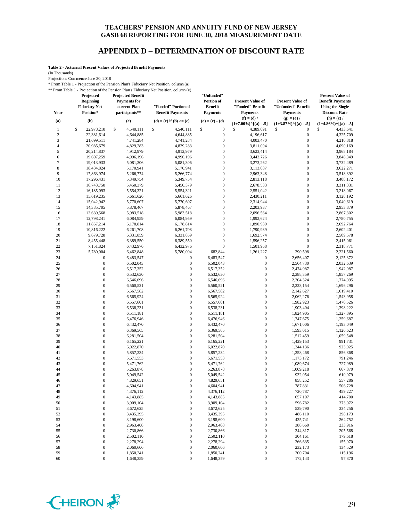#### **APPENDIX D – DETERMINATION OF DISCOUNT RATE**

**Table 2 - Actuarial Present Values of Projected Benefit Payments**

(In Thousands)

Projections Commence June 30, 2018

\* From Table 1 - Projection of the Pension Plan's Fiduciary Net Position, column (a) \*\* From Table 1 - Projection of the Pension Plan's Fiduciary Net Position, column (e)

| Projected<br><b>Beginning</b> |                                      | <b>Projected Benefit</b><br><b>Payments</b> for | "Unfunded"<br>Portion of<br><b>Benefit</b>     |                        | <b>Present Value of</b>                               | <b>Present Value of</b>                               | <b>Present Value of</b><br><b>Benefit Payments</b>    |  |
|-------------------------------|--------------------------------------|-------------------------------------------------|------------------------------------------------|------------------------|-------------------------------------------------------|-------------------------------------------------------|-------------------------------------------------------|--|
| Year                          | <b>Fiduciary Net</b><br>Position*    | current Plan<br>participants**                  | "Funded" Portion of<br><b>Benefit Payments</b> | <b>Payments</b>        | "Funded" Benefit<br><b>Payments</b>                   | "Unfunded" Benefit<br><b>Payments</b>                 | <b>Using the Single</b><br><b>Discount Rate</b>       |  |
| (a)                           | (b)                                  | (c)                                             | (d) = (c) if (b) >= (c)                        | $(e) = (c) - (d)$      | $(f) = (d) /$<br>$(1+7.00\%)$ <sup>^</sup> [(a) - .5] | $(g) = (e) /$<br>$(1+3.87\%)$ <sup>^</sup> [(a) - .5] | $(h) = (c) /$<br>$(1+4.86\%)$ <sup>^</sup> [(a) - .5] |  |
| $\mathbf{1}$                  | \$<br>22,978,210                     | 4,540,111<br>\$                                 | \$<br>4,540,111                                | \$<br>$\boldsymbol{0}$ | \$<br>4,389,091                                       | \$<br>$\boldsymbol{0}$                                | \$<br>4,433,641                                       |  |
| $\boldsymbol{2}$              | 22,381,614                           | 4,644,885                                       | 4,644,885                                      | $\boldsymbol{0}$       | 4,196,617                                             | $\boldsymbol{0}$                                      | 4,325,709                                             |  |
| 3                             | 21,699,511                           | 4,741,284                                       | 4,741,284                                      | $\boldsymbol{0}$       | 4,003,470                                             | $\boldsymbol{0}$                                      | 4,210,818                                             |  |
| $\overline{4}$                | 20,985,679                           | 4,829,283                                       | 4,829,283                                      | $\boldsymbol{0}$       | 3,811,004                                             | $\boldsymbol{0}$                                      | 4,090,169                                             |  |
| 5                             | 20,214,837                           | 4,912,979                                       | 4,912,979                                      | $\mathbf{0}$           | 3,623,414                                             | $\boldsymbol{0}$                                      | 3,968,184                                             |  |
| 6                             | 19,607,259                           | 4,996,196                                       | 4,996,196                                      | $\mathbf{0}$           | 3,443,726                                             | $\boldsymbol{0}$                                      | 3,848,349                                             |  |
| $\tau$                        | 19,013,933                           | 5,081,306                                       | 5,081,306                                      | $\boldsymbol{0}$       | 3,273,262                                             | $\boldsymbol{0}$                                      | 3,732,489                                             |  |
| 8                             | 18,434,824                           | 5,170,941                                       | 5,170,941                                      | $\mathbf{0}$           | 3,113,087                                             | $\boldsymbol{0}$                                      | 3,622,271                                             |  |
| 9                             | 17,863,974                           | 5,266,774                                       | 5,266,774                                      | $\overline{0}$         | 2,963,348                                             | $\boldsymbol{0}$                                      | 3,518,392                                             |  |
| 10                            | 17,296,431                           | 5,349,754                                       | 5,349,754                                      | $\boldsymbol{0}$       | 2,813,118                                             | $\boldsymbol{0}$                                      | 3,408,172                                             |  |
| 11                            | 16,743,750                           | 5,450,379                                       | 5,450,379                                      | $\mathbf{0}$           | 2,678,533                                             | $\boldsymbol{0}$                                      | 3,311,331                                             |  |
| 12                            | 16,185,093                           | 5,554,321                                       | 5,554,321                                      | $\boldsymbol{0}$       | 2,551,042                                             | $\boldsymbol{0}$                                      | 3,218,067                                             |  |
| 13                            | 15,619,235                           | 5,661,626                                       | 5,661,626                                      | $\boldsymbol{0}$       | 2,430,211                                             | $\boldsymbol{0}$                                      | 3,128,192                                             |  |
| 14                            | 15,042,942                           | 5,770,607                                       | 5,770,607                                      | $\mathbf{0}$           | 2,314,944                                             | $\boldsymbol{0}$                                      | 3,040,619                                             |  |
| 15                            | 14,385,705                           | 5,878,467                                       | 5,878,467                                      | $\overline{0}$         | 2,203,937                                             | $\boldsymbol{0}$                                      | 2,953,879                                             |  |
| 16                            | 13,639,568                           | 5,983,518                                       | 5,983,518                                      | $\boldsymbol{0}$       | 2,096,564                                             | $\boldsymbol{0}$                                      | 2,867,302                                             |  |
| 17                            | 12,798,241                           | 6,084,959                                       | 6,084,959                                      | $\mathbf{0}$           | 1,992,624                                             | $\boldsymbol{0}$                                      | 2,780,755                                             |  |
| 18                            | 11,857,214                           | 6,178,814                                       | 6,178,814                                      | $\mathbf{0}$           | 1,890,989                                             | $\boldsymbol{0}$                                      | 2,692,764                                             |  |
| 19                            | 10,816,222                           | 6,261,708                                       | 6,261,708                                      | $\boldsymbol{0}$       | 1,790,989                                             | $\boldsymbol{0}$                                      | 2,602,401                                             |  |
| 20                            | 9,679,728                            | 6,331,859                                       | 6,331,859                                      | $\overline{0}$         | 1,692,574                                             | $\boldsymbol{0}$                                      | 2,509,578                                             |  |
| 21                            | 8,455,448                            | 6,389,550                                       | 6,389,550                                      | $\boldsymbol{0}$       | 1,596,257                                             | $\boldsymbol{0}$                                      | 2,415,061                                             |  |
| 22                            | 7,151,824                            | 6,432,976                                       | 6,432,976                                      | $\boldsymbol{0}$       | 1,501,968                                             | $\boldsymbol{0}$                                      | 2,318,771                                             |  |
| 23                            | 5,780,004                            | 6,462,848                                       | 5,780,004                                      | 682.844                | 1,261,227                                             | 290,598                                               | 2,221,560                                             |  |
| 24                            | $\boldsymbol{0}$                     | 6,483,547                                       | $\mathbf{0}$                                   | 6,483,547              | $\boldsymbol{0}$                                      | 2,656,407                                             | 2,125,372                                             |  |
| 25                            | $\boldsymbol{0}$                     | 6,502,043                                       | $\boldsymbol{0}$                               | 6,502,043              | $\boldsymbol{0}$                                      | 2,564,730                                             | 2,032,639                                             |  |
| 26                            | $\mathbf{0}$                         | 6,517,352                                       | $\boldsymbol{0}$                               | 6,517,352              | $\mathbf{0}$                                          | 2,474,987                                             | 1,942,987                                             |  |
| 27                            | $\boldsymbol{0}$                     | 6,532,630                                       | $\mathbf{0}$                                   | 6,532,630              | $\mathbf{0}$                                          | 2,388,359                                             | 1,857,269                                             |  |
| 28                            | $\boldsymbol{0}$                     | 6,546,696                                       | $\mathbf{0}$                                   | 6,546,696              | $\mathbf{0}$                                          | 2,304,324                                             | 1,774,995                                             |  |
| 29                            | $\mathbf{0}$                         | 6,560,521                                       | $\mathbf{0}$                                   | 6,560,521              | $\mathbf{0}$                                          | 2,223,154                                             | 1,696,296                                             |  |
| 30                            | $\boldsymbol{0}$                     | 6,567,582                                       | $\mathbf{0}$                                   | 6,567,582              | $\mathbf{0}$                                          | 2,142,627                                             | 1,619,410                                             |  |
| 31                            | $\boldsymbol{0}$<br>$\boldsymbol{0}$ | 6,565,924                                       | $\boldsymbol{0}$                               | 6,565,924              | $\boldsymbol{0}$<br>$\mathbf{0}$                      | 2,062,276                                             | 1,543,958                                             |  |
| 32                            |                                      | 6,557,601                                       | $\mathbf{0}$                                   | 6,557,601              |                                                       | 1,982,923                                             | 1,470,526                                             |  |
| 33<br>34                      | $\boldsymbol{0}$<br>$\boldsymbol{0}$ | 6,538,231                                       | $\mathbf{0}$<br>$\boldsymbol{0}$               | 6,538,231              | $\mathbf{0}$<br>$\mathbf{0}$                          | 1,903,404                                             | 1,398,222                                             |  |
| 35                            | $\boldsymbol{0}$                     | 6,511,181                                       | $\mathbf{0}$                                   | 6,511,181              | $\mathbf{0}$                                          | 1,824,905                                             | 1,327,895<br>1,259,687                                |  |
| 36                            | $\boldsymbol{0}$                     | 6,476,946<br>6,432,470                          | $\boldsymbol{0}$                               | 6,476,946<br>6,432,470 | $\mathbf{0}$                                          | 1,747,675<br>1,671,006                                | 1,193,049                                             |  |
| 37                            | $\boldsymbol{0}$                     | 6,369,565                                       | $\boldsymbol{0}$                               | 6,369,565              | $\boldsymbol{0}$                                      | 1,593,015                                             | 1,126,623                                             |  |
| 38                            | $\boldsymbol{0}$                     | 6,281,504                                       | $\mathbf{0}$                                   | 6,281,504              | $\mathbf{0}$                                          | 1,512,459                                             | 1,059,548                                             |  |
| 39                            | $\boldsymbol{0}$                     | 6,165,221                                       | $\mathbf{0}$                                   | 6,165,221              | $\mathbf{0}$                                          | 1,429,153                                             | 991,731                                               |  |
| 40                            | $\boldsymbol{0}$                     | 6,022,870                                       | $\mathbf{0}$                                   | 6,022,870              | $\mathbf{0}$                                          | 1,344,136                                             | 923,925                                               |  |
| 41                            | $\boldsymbol{0}$                     | 5,857,234                                       | $\mathbf{0}$                                   | 5,857,234              | $\mathbf{0}$                                          | 1,258,468                                             | 856,868                                               |  |
| 42                            | $\boldsymbol{0}$                     | 5,671,553                                       | $\mathbf{0}$                                   | 5,671,553              | $\mathbf{0}$                                          | 1,173,172                                             | 791,246                                               |  |
| 43                            | $\mathbf{0}$                         | 5,471,762                                       | $\boldsymbol{0}$                               | 5,471,762              | $\mathbf{0}$                                          | 1,089,674                                             | 727,989                                               |  |
| 44                            | $\boldsymbol{0}$                     | 5,263,878                                       | $\mathbf{0}$                                   | 5,263,878              | $\mathbf{0}$                                          | 1,009,218                                             | 667,870                                               |  |
| 45                            | $\mathbf{0}$                         | 5,049,542                                       | $\mathbf{0}$                                   | 5,049,542              | $\mathbf{0}$                                          | 932,054                                               | 610,979                                               |  |
| 46                            | $\overline{0}$                       | 4,829,651                                       | $\boldsymbol{0}$                               | 4,829,651              | $\mathbf{0}$                                          | 858,252                                               | 557,286                                               |  |
| 47                            | $\overline{0}$                       | 4,604,941                                       | $\mathbf{0}$                                   | 4,604.941              | $\mathbf{0}$                                          | 787,831                                               | 506,728                                               |  |
| 48                            | $\boldsymbol{0}$                     | 4,376,112                                       | $\boldsymbol{0}$                               | 4,376,112              | $\boldsymbol{0}$                                      | 720,787                                               | 459,227                                               |  |
| 49                            | $\boldsymbol{0}$                     | 4,143,885                                       | $\boldsymbol{0}$                               | 4,143,885              | $\boldsymbol{0}$                                      | 657,107                                               | 414,700                                               |  |
| 50                            | $\boldsymbol{0}$                     | 3,909,104                                       | $\boldsymbol{0}$                               | 3,909,104              | $\boldsymbol{0}$                                      | 596,782                                               | 373,072                                               |  |
| 51                            | $\boldsymbol{0}$                     | 3,672,625                                       | $\boldsymbol{0}$                               | 3,672,625              | $\boldsymbol{0}$                                      | 539,790                                               | 334,256                                               |  |
| 52                            | $\boldsymbol{0}$                     | 3,435,395                                       | $\boldsymbol{0}$                               | 3,435,395              | $\boldsymbol{0}$                                      | 486,110                                               | 298,173                                               |  |
| 53                            | $\boldsymbol{0}$                     | 3,198,600                                       | $\boldsymbol{0}$                               | 3,198,600              | $\boldsymbol{0}$                                      | 435,741                                               | 264,752                                               |  |
| 54                            | $\boldsymbol{0}$                     | 2,963,408                                       | $\boldsymbol{0}$                               | 2,963,408              | $\boldsymbol{0}$                                      | 388,660                                               | 233,916                                               |  |
| 55                            | $\boldsymbol{0}$                     | 2,730,866                                       | $\boldsymbol{0}$                               | 2,730,866              | $\boldsymbol{0}$                                      | 344,817                                               | 205,568                                               |  |
| 56                            | $\boldsymbol{0}$                     | 2,502,110                                       | $\boldsymbol{0}$                               | 2,502,110              | $\boldsymbol{0}$                                      | 304,161                                               | 179,618                                               |  |
| 57                            | $\boldsymbol{0}$                     | 2,278,294                                       | $\boldsymbol{0}$                               | 2,278,294              | $\boldsymbol{0}$                                      | 266,635                                               | 155,970                                               |  |
| 58                            | $\boldsymbol{0}$                     | 2,060,606                                       | $\boldsymbol{0}$                               | 2,060,606              | $\boldsymbol{0}$                                      | 232,173                                               | 134,529                                               |  |
| 59                            | $\boldsymbol{0}$                     | 1,850,241                                       | $\boldsymbol{0}$                               | 1,850,241              | $\boldsymbol{0}$                                      | 200,704                                               | 115,196                                               |  |
| 60                            | $\boldsymbol{0}$                     | 1,648,359                                       | $\boldsymbol{0}$                               | 1,648,359              | $\boldsymbol{0}$                                      | 172,143                                               | 97,870                                                |  |

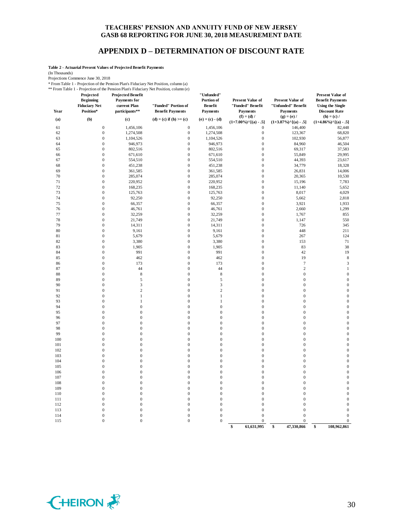#### **APPENDIX D – DETERMINATION OF DISCOUNT RATE**

**Table 2 - Actuarial Present Values of Projected Benefit Payments**

(In Thousands)

Projections Commence June 30, 2018

\* From Table 1 - Projection of the Pension Plan's Fiduciary Net Position, column (a)

\*\* From Table 1 - Projection of the Pension Plan's Fiduciary Net Position, column (e)

| Year     | Projected<br><b>Beginning</b><br><b>Fiduciary Net</b><br>Position* | <b>Projected Benefit</b><br><b>Payments</b> for<br>current Plan<br>participants** | Profit Papie 1 - Projection of the Pension Prairs Productary inclusion, column (e)<br>"Funded" Portion of<br><b>Benefit Payments</b> | "Unfunded"<br>Portion of<br>Benefit<br><b>Payments</b> | <b>Present Value of</b><br>"Funded" Benefit<br><b>Payments</b> | <b>Present Value of</b><br>"Unfunded" Benefit<br><b>Payments</b> | <b>Present Value of</b><br><b>Benefit Payments</b><br><b>Using the Single</b><br><b>Discount Rate</b> |
|----------|--------------------------------------------------------------------|-----------------------------------------------------------------------------------|--------------------------------------------------------------------------------------------------------------------------------------|--------------------------------------------------------|----------------------------------------------------------------|------------------------------------------------------------------|-------------------------------------------------------------------------------------------------------|
| (a)      | (b)                                                                | (c)                                                                               | (d) = (c) if (b) >= (c)                                                                                                              | $(e) = (c) - (d)$                                      | $(f) = (d) /$<br>$(1+7.00\%)$ <sup>^</sup> [(a) - .5]          | $(g) = (e) /$<br>$(1+3.87\%)$ <sup>^</sup> [(a) - .5]            | $(h) = (c) /$<br>$(1+4.86\%)$ <sup>^</sup> [(a) - .5]                                                 |
| 61       | $\mathbf{0}$                                                       | 1,456,106                                                                         | $\mathbf{0}$                                                                                                                         | 1,456,106                                              | $\overline{0}$                                                 | 146,400                                                          | 82,448                                                                                                |
| 62       | $\mathbf 0$                                                        | 1,274,508                                                                         | $\mathbf{0}$                                                                                                                         | 1,274,508                                              | $\boldsymbol{0}$                                               | 123,367                                                          | 68,820                                                                                                |
| 63       | $\boldsymbol{0}$                                                   | 1,104,526                                                                         | $\boldsymbol{0}$                                                                                                                     | 1,104,526                                              | $\boldsymbol{0}$                                               | 102,930                                                          | 56,877                                                                                                |
| 64       | $\boldsymbol{0}$                                                   | 946,973                                                                           | $\mathbf{0}$                                                                                                                         | 946,973                                                | $\mathbf{0}$                                                   | 84,960                                                           | 46,504                                                                                                |
| 65       | $\mathbf{0}$                                                       | 802,516                                                                           | $\overline{0}$                                                                                                                       | 802,516                                                | $\mathbf{0}$                                                   | 69,317                                                           | 37,583                                                                                                |
| 66       | $\boldsymbol{0}$                                                   | 671,610                                                                           | $\mathbf{0}$                                                                                                                         | 671,610                                                | $\mathbf{0}$                                                   | 55,849                                                           | 29,995                                                                                                |
| 67       | $\boldsymbol{0}$                                                   | 554,510                                                                           | $\mathbf{0}$                                                                                                                         | 554,510                                                | $\mathbf{0}$                                                   | 44,393                                                           | 23,617                                                                                                |
| 68       | $\boldsymbol{0}$                                                   | 451,238                                                                           | $\boldsymbol{0}$                                                                                                                     | 451,238                                                | $\mathbf{0}$                                                   | 34,779                                                           | 18,328                                                                                                |
| 69       | $\boldsymbol{0}$                                                   | 361,585                                                                           | $\mathbf{0}$                                                                                                                         | 361,585                                                | $\mathbf{0}$                                                   | 26,831                                                           | 14,006                                                                                                |
| 70       | $\boldsymbol{0}$                                                   | 285,074                                                                           | $\mathbf{0}$                                                                                                                         | 285,074                                                | $\mathbf{0}$                                                   | 20,365                                                           | 10,530                                                                                                |
| 71       | $\mathbf{0}$                                                       | 220,952                                                                           | $\mathbf{0}$                                                                                                                         | 220,952                                                | $\mathbf{0}$                                                   | 15,196                                                           | 7,783                                                                                                 |
| 72       | $\boldsymbol{0}$                                                   | 168,235                                                                           | $\mathbf{0}$                                                                                                                         | 168,235                                                | $\mathbf{0}$                                                   | 11,140                                                           | 5,652                                                                                                 |
| 73       | $\boldsymbol{0}$                                                   | 125,763                                                                           | $\boldsymbol{0}$                                                                                                                     | 125,763                                                | $\mathbf{0}$                                                   | 8,017                                                            | 4,029                                                                                                 |
| 74       | $\boldsymbol{0}$                                                   | 92,250                                                                            | $\mathbf{0}$                                                                                                                         | 92,250                                                 | $\mathbf{0}$                                                   | 5,662                                                            | 2,818                                                                                                 |
| 75       | $\mathbf{0}$                                                       | 66,357                                                                            | $\mathbf{0}$                                                                                                                         | 66,357                                                 | $\mathbf{0}$                                                   | 3,921                                                            | 1,933                                                                                                 |
| 76       | $\mathbf{0}$                                                       | 46,761                                                                            | $\mathbf{0}$                                                                                                                         | 46,761                                                 | $\overline{0}$                                                 | 2,660                                                            | 1,299                                                                                                 |
| 77       | $\boldsymbol{0}$                                                   | 32,259                                                                            | $\mathbf{0}$                                                                                                                         | 32,259                                                 | $\mathbf{0}$                                                   | 1,767                                                            | 855                                                                                                   |
| 78       | $\boldsymbol{0}$                                                   | 21,749                                                                            | $\mathbf{0}$                                                                                                                         | 21,749                                                 | $\mathbf{0}$                                                   | 1,147                                                            | 550                                                                                                   |
| 79       | $\mathbf{0}$                                                       | 14,311                                                                            | $\mathbf{0}$                                                                                                                         | 14,311                                                 | $\mathbf{0}$                                                   | 726                                                              | 345                                                                                                   |
| 80       | $\mathbf{0}$                                                       | 9,161                                                                             | $\mathbf{0}$                                                                                                                         | 9,161                                                  | $\mathbf{0}$                                                   | 448                                                              | 211                                                                                                   |
| 81       | $\boldsymbol{0}$                                                   | 5,679                                                                             | $\mathbf{0}$                                                                                                                         | 5,679                                                  | $\mathbf{0}$                                                   | 267                                                              | 124                                                                                                   |
| 82       | $\overline{0}$                                                     | 3,380                                                                             | $\mathbf{0}$                                                                                                                         | 3,380                                                  | $\overline{0}$                                                 | 153                                                              | 71                                                                                                    |
| 83       | $\boldsymbol{0}$                                                   | 1,905                                                                             | $\mathbf{0}$                                                                                                                         | 1,905                                                  | $\mathbf{0}$                                                   | 83                                                               | 38                                                                                                    |
| 84       | $\overline{0}$                                                     | 991                                                                               | $\mathbf{0}$                                                                                                                         | 991                                                    | $\overline{0}$                                                 | 42                                                               | 19                                                                                                    |
| 85       | $\mathbf{0}$                                                       | 462                                                                               | $\mathbf{0}$                                                                                                                         | 462                                                    | $\mathbf{0}$                                                   | 19                                                               | $\,$ 8 $\,$                                                                                           |
| 86       | $\boldsymbol{0}$                                                   | 173                                                                               | $\mathbf{0}$                                                                                                                         | 173                                                    | $\mathbf{0}$                                                   | $\tau$                                                           | 3                                                                                                     |
| 87       | $\overline{0}$                                                     | 44                                                                                | $\overline{0}$                                                                                                                       | 44                                                     | $\overline{0}$                                                 | $\sqrt{2}$                                                       | $\mathbf{1}$                                                                                          |
| 88       | $\overline{0}$                                                     | $\,$ 8 $\,$                                                                       | $\mathbf{0}$                                                                                                                         | $\,$ 8 $\,$                                            | $\mathbf{0}$                                                   | $\boldsymbol{0}$                                                 | $\mathbf{0}$                                                                                          |
| 89       | $\overline{0}$                                                     | 5                                                                                 | $\overline{0}$<br>$\mathbf{0}$                                                                                                       | 5<br>3                                                 | $\overline{0}$<br>$\mathbf{0}$                                 | $\boldsymbol{0}$<br>$\boldsymbol{0}$                             | $\mathbf{0}$<br>$\mathbf{0}$                                                                          |
| 90<br>91 | $\mathbf{0}$<br>$\mathbf{0}$                                       | 3<br>$\overline{c}$                                                               | $\mathbf{0}$                                                                                                                         | $\overline{c}$                                         | $\mathbf{0}$                                                   | $\boldsymbol{0}$                                                 | $\mathbf{0}$                                                                                          |
| 92       | $\overline{0}$                                                     | $\mathbf{1}$                                                                      | $\overline{0}$                                                                                                                       | $\mathbf{1}$                                           | $\overline{0}$                                                 | $\boldsymbol{0}$                                                 | $\overline{0}$                                                                                        |
| 93       | $\overline{0}$                                                     | $\mathbf{1}$                                                                      | $\mathbf{0}$                                                                                                                         | $\mathbf{1}$                                           | $\overline{0}$                                                 | $\boldsymbol{0}$                                                 | $\mathbf{0}$                                                                                          |
| 94       | $\overline{0}$                                                     | $\overline{0}$                                                                    | $\overline{0}$                                                                                                                       | $\overline{0}$                                         | $\overline{0}$                                                 | $\boldsymbol{0}$                                                 | $\mathbf{0}$                                                                                          |
| 95       | $\mathbf{0}$                                                       | $\boldsymbol{0}$                                                                  | $\mathbf{0}$                                                                                                                         | $\mathbf{0}$                                           | $\mathbf{0}$                                                   | $\boldsymbol{0}$                                                 | $\mathbf{0}$                                                                                          |
| 96       | $\boldsymbol{0}$                                                   | $\mathbf{0}$                                                                      | $\mathbf{0}$                                                                                                                         | $\mathbf{0}$                                           | $\mathbf{0}$                                                   | $\boldsymbol{0}$                                                 | $\mathbf{0}$                                                                                          |
| 97       | $\mathbf{0}$                                                       | $\mathbf{0}$                                                                      | $\mathbf{0}$                                                                                                                         | $\mathbf{0}$                                           | $\mathbf{0}$                                                   | $\boldsymbol{0}$                                                 | $\mathbf{0}$                                                                                          |
| 98       | $\overline{0}$                                                     | $\overline{0}$                                                                    | $\boldsymbol{0}$                                                                                                                     | $\boldsymbol{0}$                                       | $\boldsymbol{0}$                                               | $\boldsymbol{0}$                                                 | $\overline{0}$                                                                                        |
| 99       | $\overline{0}$                                                     | $\overline{0}$                                                                    | $\overline{0}$                                                                                                                       | $\overline{0}$                                         | $\overline{0}$                                                 | $\boldsymbol{0}$                                                 | $\mathbf{0}$                                                                                          |
| 100      | $\mathbf{0}$                                                       | $\overline{0}$                                                                    | $\overline{0}$                                                                                                                       | $\overline{0}$                                         | $\overline{0}$                                                 | $\boldsymbol{0}$                                                 | $\mathbf{0}$                                                                                          |
| 101      | $\overline{0}$                                                     | $\overline{0}$                                                                    | $\mathbf{0}$                                                                                                                         | $\mathbf{0}$                                           | $\mathbf{0}$                                                   | $\boldsymbol{0}$                                                 | $\mathbf{0}$                                                                                          |
| 102      | $\mathbf{0}$                                                       | $\boldsymbol{0}$                                                                  | $\mathbf{0}$                                                                                                                         | $\mathbf{0}$                                           | $\mathbf{0}$                                                   | $\boldsymbol{0}$                                                 | $\mathbf{0}$                                                                                          |
| 103      | $\boldsymbol{0}$                                                   | $\mathbf{0}$                                                                      | $\boldsymbol{0}$                                                                                                                     | $\boldsymbol{0}$                                       | $\mathbf{0}$                                                   | $\boldsymbol{0}$                                                 | $\mathbf{0}$                                                                                          |
| 104      | $\overline{0}$                                                     | $\overline{0}$                                                                    | $\overline{0}$                                                                                                                       | $\overline{0}$                                         | $\mathbf{0}$                                                   | $\boldsymbol{0}$                                                 | $\mathbf{0}$                                                                                          |
| 105      | $\overline{0}$                                                     | $\overline{0}$                                                                    | $\overline{0}$                                                                                                                       | $\overline{0}$                                         | $\overline{0}$                                                 | $\boldsymbol{0}$                                                 | $\mathbf{0}$                                                                                          |
| 106      | $\overline{0}$                                                     | $\overline{0}$                                                                    | $\mathbf{0}$                                                                                                                         | $\mathbf{0}$                                           | $\mathbf{0}$                                                   | $\boldsymbol{0}$                                                 | $\mathbf{0}$                                                                                          |
| 107      | $\mathbf{0}$                                                       | $\mathbf{0}$                                                                      | $\mathbf{0}$                                                                                                                         | $\mathbf{0}$                                           | $\mathbf{0}$                                                   | $\boldsymbol{0}$                                                 | $\mathbf{0}$                                                                                          |
| 108      | $\boldsymbol{0}$                                                   | $\mathbf{0}$                                                                      | $\boldsymbol{0}$                                                                                                                     | $\boldsymbol{0}$                                       | $\mathbf{0}$                                                   | $\boldsymbol{0}$                                                 | $\mathbf{0}$                                                                                          |
| 109      | $\overline{0}$                                                     | $\overline{0}$                                                                    | $\overline{0}$                                                                                                                       | $\overline{0}$                                         | $\mathbf{0}$                                                   | $\boldsymbol{0}$                                                 | $\boldsymbol{0}$                                                                                      |
| 110      | $\overline{0}$                                                     | $\overline{0}$                                                                    | $\overline{0}$                                                                                                                       | $\overline{0}$                                         | $\overline{0}$                                                 | $\boldsymbol{0}$                                                 | $\mathbf{0}$                                                                                          |
| 111      | $\overline{0}$                                                     | $\overline{0}$                                                                    | $\mathbf{0}$                                                                                                                         | $\mathbf{0}$                                           | $\mathbf{0}$                                                   | $\boldsymbol{0}$                                                 | $\mathbf{0}$                                                                                          |
| 112      | $\mathbf{0}$                                                       | $\mathbf{0}$                                                                      | $\mathbf{0}$                                                                                                                         | $\boldsymbol{0}$                                       | $\mathbf{0}$                                                   | $\boldsymbol{0}$                                                 | $\mathbf{0}$                                                                                          |
| 113      | $\boldsymbol{0}$                                                   | $\mathbf{0}$                                                                      | $\boldsymbol{0}$                                                                                                                     | $\boldsymbol{0}$                                       | $\mathbf{0}$                                                   | $\boldsymbol{0}$                                                 | $\mathbf{0}$                                                                                          |
| 114      | $\overline{0}$                                                     | $\boldsymbol{0}$                                                                  | $\boldsymbol{0}$                                                                                                                     | $\boldsymbol{0}$                                       | $\mathbf{0}$                                                   | $\mathbf{0}$                                                     | $\overline{0}$                                                                                        |
| 115      | $\mathbf{0}$                                                       | $\mathbf{0}$                                                                      | $\overline{0}$                                                                                                                       | $\mathbf{0}$                                           | $\mathbf{0}$                                                   | $\mathbf 0$<br>47,330,866                                        | $\boldsymbol{0}$<br>108,962,861                                                                       |
|          |                                                                    |                                                                                   |                                                                                                                                      |                                                        | 61,631,995<br>\$                                               | \$                                                               | \$                                                                                                    |

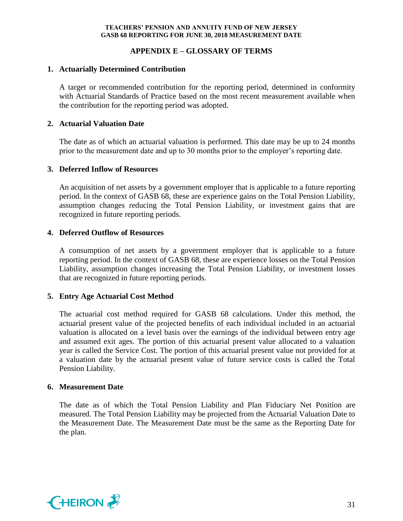## **APPENDIX E – GLOSSARY OF TERMS**

### **1. Actuarially Determined Contribution**

A target or recommended contribution for the reporting period, determined in conformity with Actuarial Standards of Practice based on the most recent measurement available when the contribution for the reporting period was adopted.

## **2. Actuarial Valuation Date**

The date as of which an actuarial valuation is performed. This date may be up to 24 months prior to the measurement date and up to 30 months prior to the employer's reporting date.

## **3. Deferred Inflow of Resources**

An acquisition of net assets by a government employer that is applicable to a future reporting period. In the context of GASB 68, these are experience gains on the Total Pension Liability, assumption changes reducing the Total Pension Liability, or investment gains that are recognized in future reporting periods.

## **4. Deferred Outflow of Resources**

A consumption of net assets by a government employer that is applicable to a future reporting period. In the context of GASB 68, these are experience losses on the Total Pension Liability, assumption changes increasing the Total Pension Liability, or investment losses that are recognized in future reporting periods.

## **5. Entry Age Actuarial Cost Method**

The actuarial cost method required for GASB 68 calculations. Under this method, the actuarial present value of the projected benefits of each individual included in an actuarial valuation is allocated on a level basis over the earnings of the individual between entry age and assumed exit ages. The portion of this actuarial present value allocated to a valuation year is called the Service Cost. The portion of this actuarial present value not provided for at a valuation date by the actuarial present value of future service costs is called the Total Pension Liability.

### **6. Measurement Date**

The date as of which the Total Pension Liability and Plan Fiduciary Net Position are measured. The Total Pension Liability may be projected from the Actuarial Valuation Date to the Measurement Date. The Measurement Date must be the same as the Reporting Date for the plan.